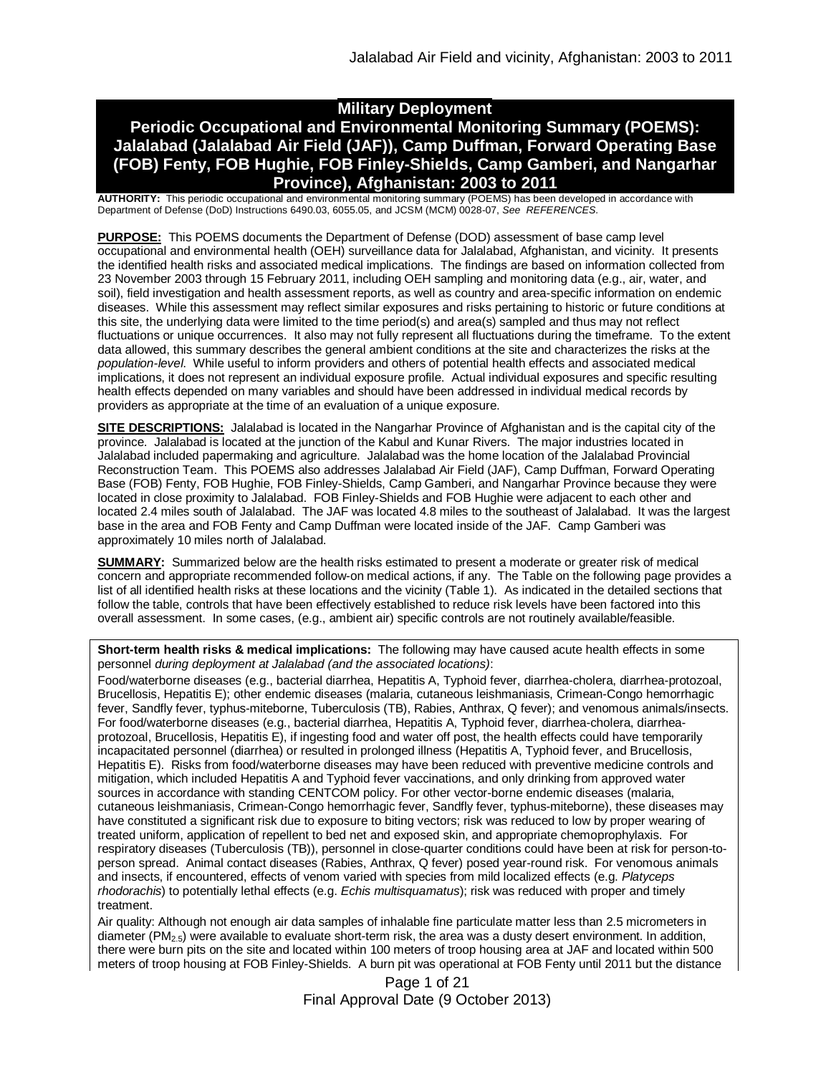# **Military Deployment**

# **Periodic Occupational and Environmental Monitoring Summary (POEMS): Jalalabad (Jalalabad Air Field (JAF)), Camp Duffman, Forward Operating Base (FOB) Fenty, FOB Hughie, FOB Finley-Shields, Camp Gamberi, and Nangarhar Province), Afghanistan: 2003 to 2011**

**AUTHORITY:** This periodic occupational and environmental monitoring summary (POEMS) has been developed in accordance with Department of Defense (DoD) Instructions 6490.03, 6055.05, and JCSM (MCM) 0028-07, *See REFERENCES.*

**PURPOSE:** This POEMS documents the Department of Defense (DOD) assessment of base camp level occupational and environmental health (OEH) surveillance data for Jalalabad, Afghanistan, and vicinity. It presents the identified health risks and associated medical implications. The findings are based on information collected from 23 November 2003 through 15 February 2011, including OEH sampling and monitoring data (e.g., air, water, and soil), field investigation and health assessment reports, as well as country and area-specific information on endemic diseases. While this assessment may reflect similar exposures and risks pertaining to historic or future conditions at this site, the underlying data were limited to the time period(s) and area(s) sampled and thus may not reflect fluctuations or unique occurrences. It also may not fully represent all fluctuations during the timeframe. To the extent data allowed, this summary describes the general ambient conditions at the site and characterizes the risks at the *population-level*. While useful to inform providers and others of potential health effects and associated medical implications, it does not represent an individual exposure profile. Actual individual exposures and specific resulting health effects depended on many variables and should have been addressed in individual medical records by providers as appropriate at the time of an evaluation of a unique exposure.

**SITE DESCRIPTIONS:** Jalalabad is located in the Nangarhar Province of Afghanistan and is the capital city of the province. Jalalabad is located at the junction of the Kabul and Kunar Rivers. The major industries located in Jalalabad included papermaking and agriculture. Jalalabad was the home location of the Jalalabad Provincial Reconstruction Team. This POEMS also addresses Jalalabad Air Field (JAF), Camp Duffman, Forward Operating Base (FOB) Fenty, FOB Hughie, FOB Finley-Shields, Camp Gamberi, and Nangarhar Province because they were located in close proximity to Jalalabad. FOB Finley-Shields and FOB Hughie were adjacent to each other and located 2.4 miles south of Jalalabad. The JAF was located 4.8 miles to the southeast of Jalalabad. It was the largest base in the area and FOB Fenty and Camp Duffman were located inside of the JAF. Camp Gamberi was approximately 10 miles north of Jalalabad.

**SUMMARY:** Summarized below are the health risks estimated to present a moderate or greater risk of medical concern and appropriate recommended follow-on medical actions, if any. The Table on the following page provides a list of all identified health risks at these locations and the vicinity (Table 1). As indicated in the detailed sections that follow the table, controls that have been effectively established to reduce risk levels have been factored into this overall assessment. In some cases, (e.g., ambient air) specific controls are not routinely available/feasible.

**Short-term health risks & medical implications:** The following may have caused acute health effects in some personnel *during deployment at Jalalabad (and the associated locations)*:

Food/waterborne diseases (e.g., bacterial diarrhea, Hepatitis A, Typhoid fever, diarrhea-cholera, diarrhea-protozoal, Brucellosis, Hepatitis E); other endemic diseases (malaria, cutaneous leishmaniasis, Crimean-Congo hemorrhagic fever, Sandfly fever, typhus-miteborne, Tuberculosis (TB), Rabies, Anthrax, Q fever); and venomous animals/insects. For food/waterborne diseases (e.g., bacterial diarrhea, Hepatitis A, Typhoid fever, diarrhea-cholera, diarrheaprotozoal, Brucellosis, Hepatitis E), if ingesting food and water off post, the health effects could have temporarily incapacitated personnel (diarrhea) or resulted in prolonged illness (Hepatitis A, Typhoid fever, and Brucellosis, Hepatitis E). Risks from food/waterborne diseases may have been reduced with preventive medicine controls and mitigation, which included Hepatitis A and Typhoid fever vaccinations, and only drinking from approved water sources in accordance with standing CENTCOM policy. For other vector-borne endemic diseases (malaria, cutaneous leishmaniasis, Crimean-Congo hemorrhagic fever, Sandfly fever, typhus-miteborne), these diseases may have constituted a significant risk due to exposure to biting vectors; risk was reduced to low by proper wearing of treated uniform, application of repellent to bed net and exposed skin, and appropriate chemoprophylaxis. For respiratory diseases (Tuberculosis (TB)), personnel in close-quarter conditions could have been at risk for person-toperson spread. Animal contact diseases (Rabies, Anthrax, Q fever) posed year-round risk. For venomous animals and insects, if encountered, effects of venom varied with species from mild localized effects (e.g. *Platyceps rhodorachis*) to potentially lethal effects (e.g. *Echis multisquamatus*); risk was reduced with proper and timely treatment.

Air quality: Although not enough air data samples of inhalable fine particulate matter less than 2.5 micrometers in diameter ( $PM_{2.5}$ ) were available to evaluate short-term risk, the area was a dusty desert environment. In addition, there were burn pits on the site and located within 100 meters of troop housing area at JAF and located within 500 meters of troop housing at FOB Finley-Shields. A burn pit was operational at FOB Fenty until 2011 but the distance

> Page 1 of 21 Final Approval Date (9 October 2013)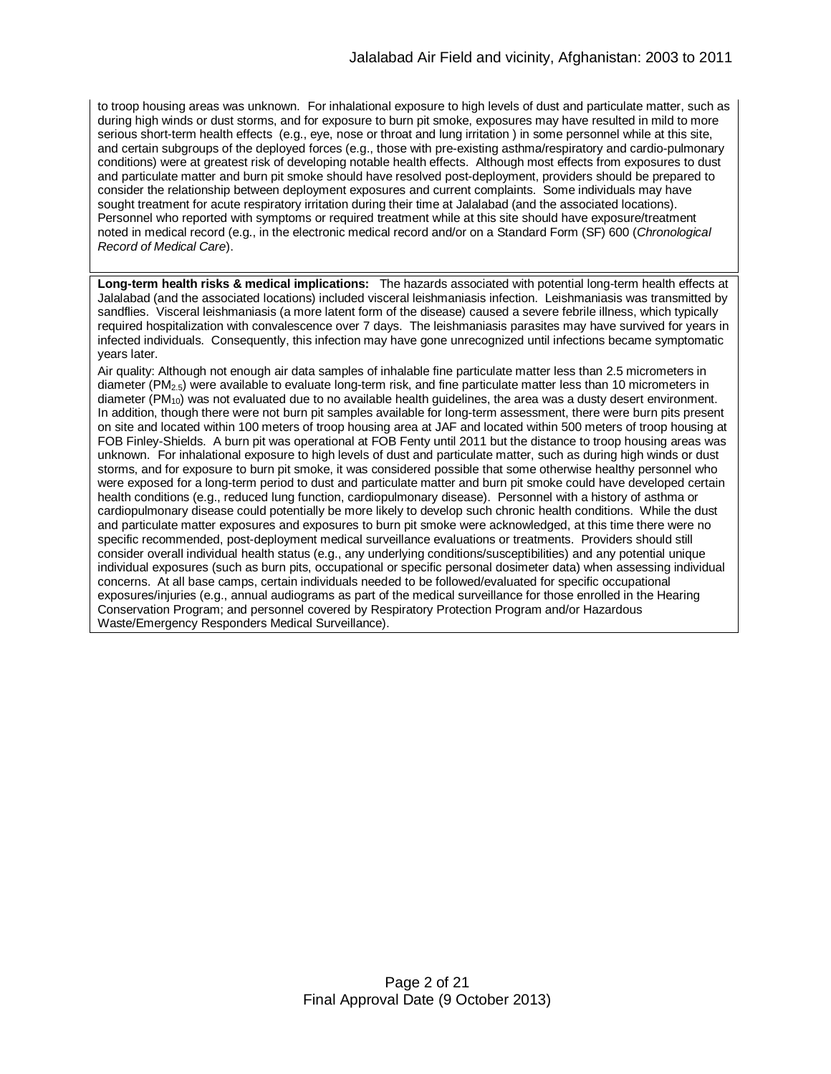to troop housing areas was unknown. For inhalational exposure to high levels of dust and particulate matter, such as during high winds or dust storms, and for exposure to burn pit smoke, exposures may have resulted in mild to more serious short-term health effects (e.g., eye, nose or throat and lung irritation ) in some personnel while at this site, and certain subgroups of the deployed forces (e.g., those with pre-existing asthma/respiratory and cardio-pulmonary conditions) were at greatest risk of developing notable health effects. Although most effects from exposures to dust and particulate matter and burn pit smoke should have resolved post-deployment, providers should be prepared to consider the relationship between deployment exposures and current complaints. Some individuals may have sought treatment for acute respiratory irritation during their time at Jalalabad (and the associated locations). Personnel who reported with symptoms or required treatment while at this site should have exposure/treatment noted in medical record (e.g., in the electronic medical record and/or on a Standard Form (SF) 600 (*Chronological Record of Medical Care*).

**Long-term health risks & medical implications:** The hazards associated with potential long-term health effects at Jalalabad (and the associated locations) included visceral leishmaniasis infection. Leishmaniasis was transmitted by sandflies. Visceral leishmaniasis (a more latent form of the disease) caused a severe febrile illness, which typically required hospitalization with convalescence over 7 days. The leishmaniasis parasites may have survived for years in infected individuals. Consequently, this infection may have gone unrecognized until infections became symptomatic years later.

Air quality: Although not enough air data samples of inhalable fine particulate matter less than 2.5 micrometers in diameter ( $PM_{2.5}$ ) were available to evaluate long-term risk, and fine particulate matter less than 10 micrometers in diameter ( $PM_{10}$ ) was not evaluated due to no available health quidelines, the area was a dusty desert environment. In addition, though there were not burn pit samples available for long-term assessment, there were burn pits present on site and located within 100 meters of troop housing area at JAF and located within 500 meters of troop housing at FOB Finley-Shields. A burn pit was operational at FOB Fenty until 2011 but the distance to troop housing areas was unknown. For inhalational exposure to high levels of dust and particulate matter, such as during high winds or dust storms, and for exposure to burn pit smoke, it was considered possible that some otherwise healthy personnel who were exposed for a long-term period to dust and particulate matter and burn pit smoke could have developed certain health conditions (e.g., reduced lung function, cardiopulmonary disease). Personnel with a history of asthma or cardiopulmonary disease could potentially be more likely to develop such chronic health conditions. While the dust and particulate matter exposures and exposures to burn pit smoke were acknowledged, at this time there were no specific recommended, post-deployment medical surveillance evaluations or treatments. Providers should still consider overall individual health status (e.g., any underlying conditions/susceptibilities) and any potential unique individual exposures (such as burn pits, occupational or specific personal dosimeter data) when assessing individual concerns. At all base camps, certain individuals needed to be followed/evaluated for specific occupational exposures/injuries (e.g., annual audiograms as part of the medical surveillance for those enrolled in the Hearing Conservation Program; and personnel covered by Respiratory Protection Program and/or Hazardous Waste/Emergency Responders Medical Surveillance).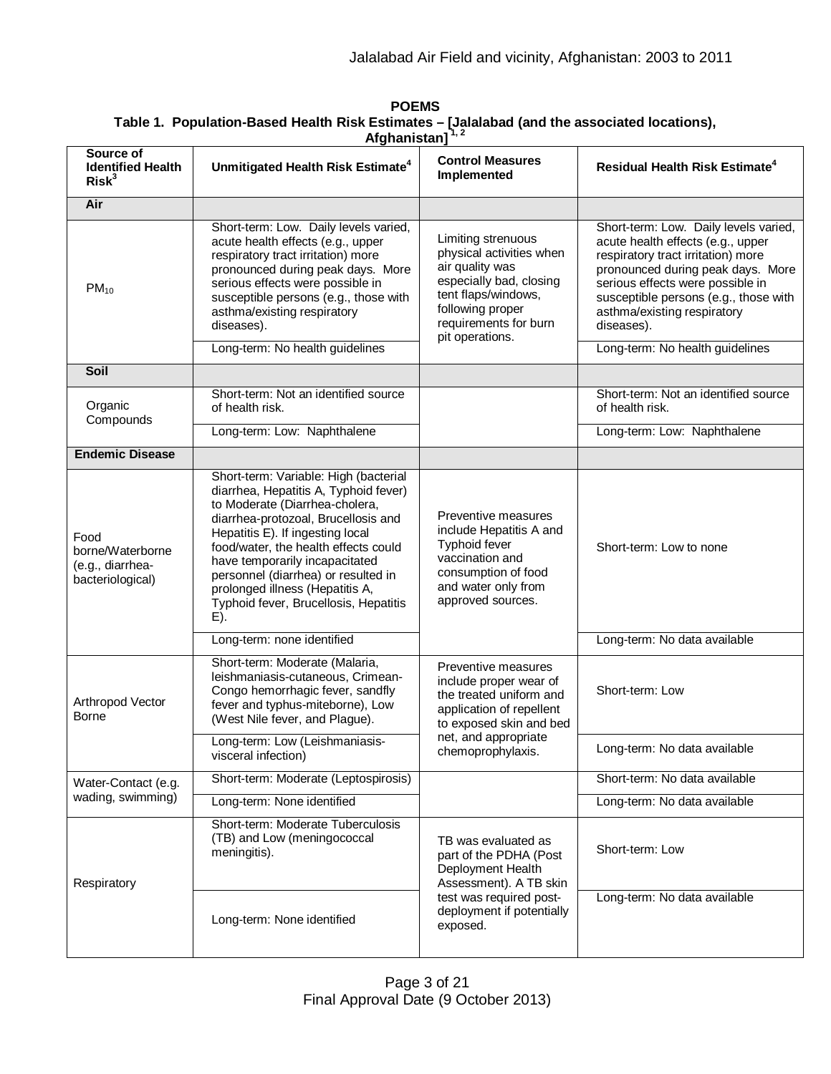| Source of<br><b>Identified Health</b><br>Risk <sup>3</sup>       | Unmitigated Health Risk Estimate <sup>4</sup>                                                                                                                                                                                                                                                                                                                                                   | <b>Control Measures</b><br>Implemented                                                                                                                                              | <b>Residual Health Risk Estimate<sup>4</sup></b>                                                                                                                                                                                                                                                                   |
|------------------------------------------------------------------|-------------------------------------------------------------------------------------------------------------------------------------------------------------------------------------------------------------------------------------------------------------------------------------------------------------------------------------------------------------------------------------------------|-------------------------------------------------------------------------------------------------------------------------------------------------------------------------------------|--------------------------------------------------------------------------------------------------------------------------------------------------------------------------------------------------------------------------------------------------------------------------------------------------------------------|
| Air                                                              |                                                                                                                                                                                                                                                                                                                                                                                                 |                                                                                                                                                                                     |                                                                                                                                                                                                                                                                                                                    |
| $PM_{10}$                                                        | Short-term: Low. Daily levels varied,<br>acute health effects (e.g., upper<br>respiratory tract irritation) more<br>pronounced during peak days. More<br>serious effects were possible in<br>susceptible persons (e.g., those with<br>asthma/existing respiratory<br>diseases).<br>Long-term: No health guidelines                                                                              | Limiting strenuous<br>physical activities when<br>air quality was<br>especially bad, closing<br>tent flaps/windows,<br>following proper<br>requirements for burn<br>pit operations. | Short-term: Low. Daily levels varied,<br>acute health effects (e.g., upper<br>respiratory tract irritation) more<br>pronounced during peak days. More<br>serious effects were possible in<br>susceptible persons (e.g., those with<br>asthma/existing respiratory<br>diseases).<br>Long-term: No health guidelines |
| <b>Soil</b>                                                      |                                                                                                                                                                                                                                                                                                                                                                                                 |                                                                                                                                                                                     |                                                                                                                                                                                                                                                                                                                    |
| Organic<br>Compounds                                             | Short-term: Not an identified source<br>of health risk.                                                                                                                                                                                                                                                                                                                                         |                                                                                                                                                                                     | Short-term: Not an identified source<br>of health risk.                                                                                                                                                                                                                                                            |
|                                                                  | Long-term: Low: Naphthalene                                                                                                                                                                                                                                                                                                                                                                     |                                                                                                                                                                                     | Long-term: Low: Naphthalene                                                                                                                                                                                                                                                                                        |
| <b>Endemic Disease</b>                                           |                                                                                                                                                                                                                                                                                                                                                                                                 |                                                                                                                                                                                     |                                                                                                                                                                                                                                                                                                                    |
| Food<br>borne/Waterborne<br>(e.g., diarrhea-<br>bacteriological) | Short-term: Variable: High (bacterial<br>diarrhea, Hepatitis A, Typhoid fever)<br>to Moderate (Diarrhea-cholera,<br>diarrhea-protozoal, Brucellosis and<br>Hepatitis E). If ingesting local<br>food/water, the health effects could<br>have temporarily incapacitated<br>personnel (diarrhea) or resulted in<br>prolonged illness (Hepatitis A,<br>Typhoid fever, Brucellosis, Hepatitis<br>E). | Preventive measures<br>include Hepatitis A and<br><b>Typhoid fever</b><br>vaccination and<br>consumption of food<br>and water only from<br>approved sources.                        | Short-term: Low to none                                                                                                                                                                                                                                                                                            |
|                                                                  | Long-term: none identified                                                                                                                                                                                                                                                                                                                                                                      |                                                                                                                                                                                     | Long-term: No data available                                                                                                                                                                                                                                                                                       |
| Arthropod Vector<br><b>Borne</b>                                 | Short-term: Moderate (Malaria,<br>leishmaniasis-cutaneous, Crimean-<br>Congo hemorrhagic fever, sandfly<br>fever and typhus-miteborne), Low<br>(West Nile fever, and Plague).                                                                                                                                                                                                                   | Preventive measures<br>include proper wear of<br>the treated uniform and<br>application of repellent<br>to exposed skin and bed                                                     | Short-term: Low                                                                                                                                                                                                                                                                                                    |
|                                                                  | Long-term: Low (Leishmaniasis-<br>visceral infection)                                                                                                                                                                                                                                                                                                                                           | net, and appropriate<br>chemoprophylaxis.                                                                                                                                           | Long-term: No data available                                                                                                                                                                                                                                                                                       |
| Water-Contact (e.g.                                              | Short-term: Moderate (Leptospirosis)                                                                                                                                                                                                                                                                                                                                                            |                                                                                                                                                                                     | Short-term: No data available                                                                                                                                                                                                                                                                                      |
| wading, swimming)                                                | Long-term: None identified                                                                                                                                                                                                                                                                                                                                                                      |                                                                                                                                                                                     | Long-term: No data available                                                                                                                                                                                                                                                                                       |
| Respiratory                                                      | Short-term: Moderate Tuberculosis<br>(TB) and Low (meningococcal<br>meningitis).                                                                                                                                                                                                                                                                                                                | TB was evaluated as<br>part of the PDHA (Post<br>Deployment Health<br>Assessment). A TB skin                                                                                        | Short-term: Low                                                                                                                                                                                                                                                                                                    |
|                                                                  | Long-term: None identified                                                                                                                                                                                                                                                                                                                                                                      | test was required post-<br>deployment if potentially<br>exposed.                                                                                                                    | Long-term: No data available                                                                                                                                                                                                                                                                                       |

**POEMS Table 1. Population-Based Health Risk Estimates – [Jalalabad (and the associated locations), Afghanistan] 1, 2**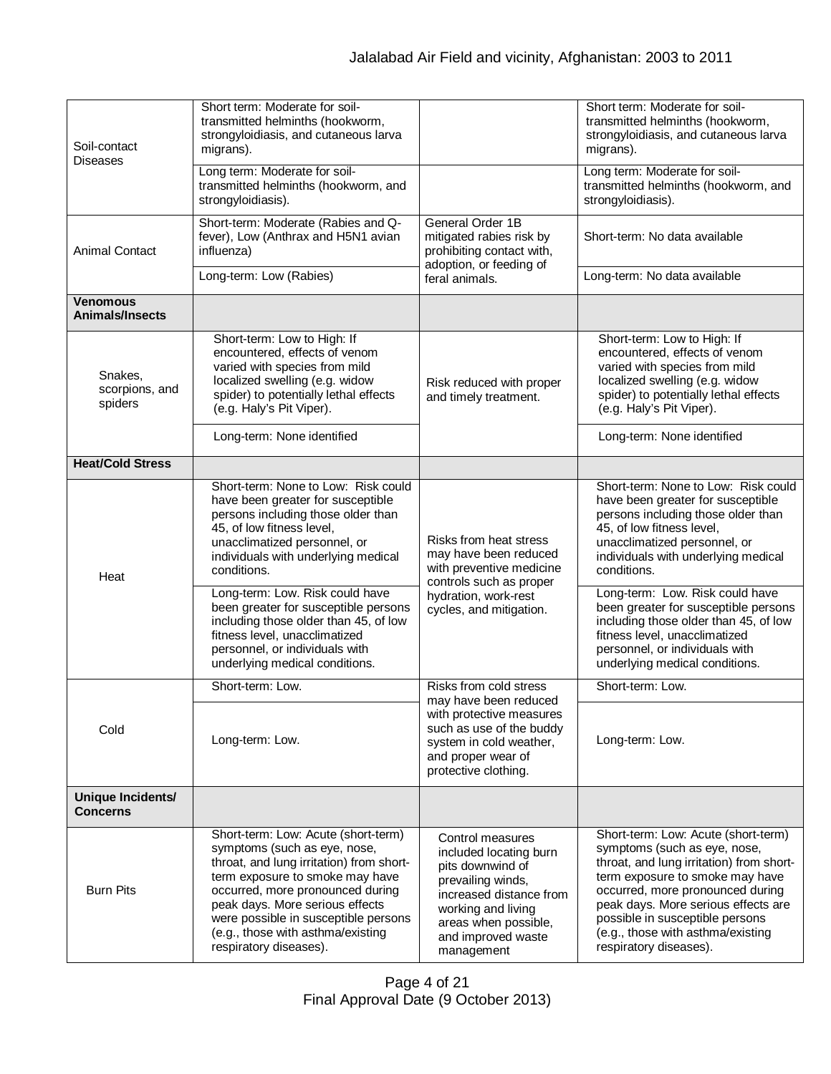| Soil-contact<br><b>Diseases</b>           | Short term: Moderate for soil-<br>transmitted helminths (hookworm,<br>strongyloidiasis, and cutaneous larva<br>migrans).                                                                                                                                                                                                         |                                                                                                                                                                                                  | Short term: Moderate for soil-<br>transmitted helminths (hookworm,<br>strongyloidiasis, and cutaneous larva<br>migrans).                                                                                                                                                                                                        |
|-------------------------------------------|----------------------------------------------------------------------------------------------------------------------------------------------------------------------------------------------------------------------------------------------------------------------------------------------------------------------------------|--------------------------------------------------------------------------------------------------------------------------------------------------------------------------------------------------|---------------------------------------------------------------------------------------------------------------------------------------------------------------------------------------------------------------------------------------------------------------------------------------------------------------------------------|
|                                           | Long term: Moderate for soil-<br>transmitted helminths (hookworm, and<br>strongyloidiasis).                                                                                                                                                                                                                                      |                                                                                                                                                                                                  | Long term: Moderate for soil-<br>transmitted helminths (hookworm, and<br>strongyloidiasis).                                                                                                                                                                                                                                     |
| <b>Animal Contact</b>                     | Short-term: Moderate (Rabies and Q-<br>General Order 1B<br>fever), Low (Anthrax and H5N1 avian<br>mitigated rabies risk by<br>influenza)<br>prohibiting contact with,<br>adoption, or feeding of                                                                                                                                 |                                                                                                                                                                                                  | Short-term: No data available                                                                                                                                                                                                                                                                                                   |
|                                           | Long-term: Low (Rabies)                                                                                                                                                                                                                                                                                                          | feral animals.                                                                                                                                                                                   | Long-term: No data available                                                                                                                                                                                                                                                                                                    |
| <b>Venomous</b><br><b>Animals/Insects</b> |                                                                                                                                                                                                                                                                                                                                  |                                                                                                                                                                                                  |                                                                                                                                                                                                                                                                                                                                 |
| Snakes,<br>scorpions, and<br>spiders      | Short-term: Low to High: If<br>encountered, effects of venom<br>varied with species from mild<br>localized swelling (e.g. widow<br>spider) to potentially lethal effects<br>(e.g. Haly's Pit Viper).                                                                                                                             | Risk reduced with proper<br>and timely treatment.                                                                                                                                                | Short-term: Low to High: If<br>encountered, effects of venom<br>varied with species from mild<br>localized swelling (e.g. widow<br>spider) to potentially lethal effects<br>(e.g. Haly's Pit Viper).                                                                                                                            |
|                                           | Long-term: None identified                                                                                                                                                                                                                                                                                                       |                                                                                                                                                                                                  | Long-term: None identified                                                                                                                                                                                                                                                                                                      |
| <b>Heat/Cold Stress</b>                   |                                                                                                                                                                                                                                                                                                                                  |                                                                                                                                                                                                  |                                                                                                                                                                                                                                                                                                                                 |
| Heat                                      | Short-term: None to Low: Risk could<br>have been greater for susceptible<br>persons including those older than<br>45, of low fitness level,<br>unacclimatized personnel, or<br>individuals with underlying medical<br>conditions.                                                                                                | Risks from heat stress<br>may have been reduced<br>with preventive medicine                                                                                                                      | Short-term: None to Low: Risk could<br>have been greater for susceptible<br>persons including those older than<br>45, of low fitness level,<br>unacclimatized personnel, or<br>individuals with underlying medical<br>conditions.                                                                                               |
|                                           | Long-term: Low. Risk could have<br>been greater for susceptible persons<br>including those older than 45, of low<br>fitness level, unacclimatized<br>personnel, or individuals with<br>underlying medical conditions.                                                                                                            | controls such as proper<br>hydration, work-rest<br>cycles, and mitigation.                                                                                                                       | Long-term: Low. Risk could have<br>been greater for susceptible persons<br>including those older than 45, of low<br>fitness level, unacclimatized<br>personnel, or individuals with<br>underlying medical conditions.                                                                                                           |
|                                           | Short-term: Low.                                                                                                                                                                                                                                                                                                                 | Risks from cold stress                                                                                                                                                                           | Short-term: Low.                                                                                                                                                                                                                                                                                                                |
| Cold                                      | Long-term: Low.                                                                                                                                                                                                                                                                                                                  | may have been reduced<br>with protective measures<br>such as use of the buddy<br>system in cold weather,<br>and proper wear of<br>protective clothing.                                           | Long-term: Low.                                                                                                                                                                                                                                                                                                                 |
| Unique Incidents/<br><b>Concerns</b>      |                                                                                                                                                                                                                                                                                                                                  |                                                                                                                                                                                                  |                                                                                                                                                                                                                                                                                                                                 |
| <b>Burn Pits</b>                          | Short-term: Low: Acute (short-term)<br>symptoms (such as eye, nose,<br>throat, and lung irritation) from short-<br>term exposure to smoke may have<br>occurred, more pronounced during<br>peak days. More serious effects<br>were possible in susceptible persons<br>(e.g., those with asthma/existing<br>respiratory diseases). | Control measures<br>included locating burn<br>pits downwind of<br>prevailing winds,<br>increased distance from<br>working and living<br>areas when possible,<br>and improved waste<br>management | Short-term: Low: Acute (short-term)<br>symptoms (such as eye, nose,<br>throat, and lung irritation) from short-<br>term exposure to smoke may have<br>occurred, more pronounced during<br>peak days. More serious effects are<br>possible in susceptible persons<br>(e.g., those with asthma/existing<br>respiratory diseases). |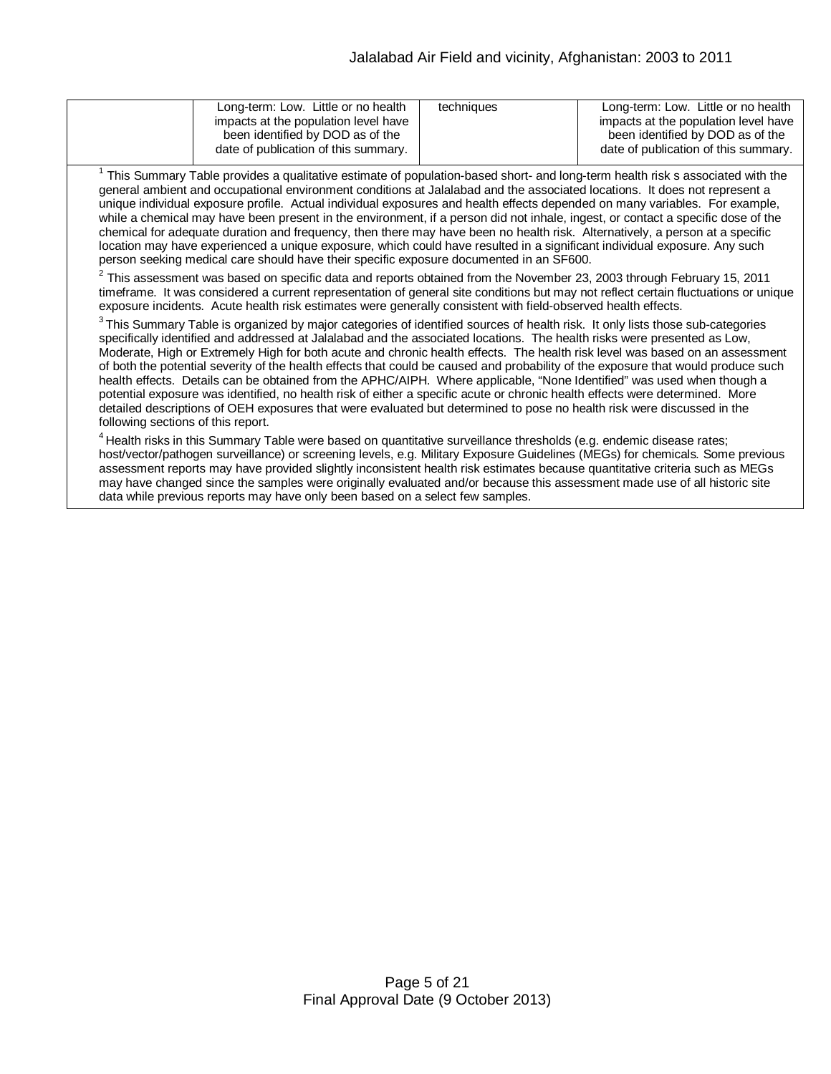| Long-term: Low. Little or no health<br>impacts at the population level have<br>been identified by DOD as of the<br>date of publication of this summary. | techniques | Long-term: Low. Little or no health<br>impacts at the population level have<br>been identified by DOD as of the<br>date of publication of this summary. |
|---------------------------------------------------------------------------------------------------------------------------------------------------------|------------|---------------------------------------------------------------------------------------------------------------------------------------------------------|
|                                                                                                                                                         |            |                                                                                                                                                         |

 $1$  This Summary Table provides a qualitative estimate of population-based short- and long-term health risk s associated with the general ambient and occupational environment conditions at Jalalabad and the associated locations. It does not represent a unique individual exposure profile. Actual individual exposures and health effects depended on many variables. For example, while a chemical may have been present in the environment, if a person did not inhale, ingest, or contact a specific dose of the chemical for adequate duration and frequency, then there may have been no health risk. Alternatively, a person at a specific location may have experienced a unique exposure, which could have resulted in a significant individual exposure. Any such person seeking medical care should have their specific exposure documented in an SF600.

 $^2$  This assessment was based on specific data and reports obtained from the November 23, 2003 through February 15, 2011 timeframe. It was considered a current representation of general site conditions but may not reflect certain fluctuations or unique exposure incidents. Acute health risk estimates were generally consistent with field-observed health effects.

 $^3$ This Summary Table is organized by major categories of identified sources of health risk. It only lists those sub-categories specifically identified and addressed at Jalalabad and the associated locations. The health risks were presented as Low, Moderate, High or Extremely High for both acute and chronic health effects. The health risk level was based on an assessment of both the potential severity of the health effects that could be caused and probability of the exposure that would produce such health effects. Details can be obtained from the APHC/AIPH. Where applicable, "None Identified" was used when though a potential exposure was identified, no health risk of either a specific acute or chronic health effects were determined. More detailed descriptions of OEH exposures that were evaluated but determined to pose no health risk were discussed in the following sections of this report.

<sup>4</sup> Health risks in this Summary Table were based on quantitative surveillance thresholds (e.g. endemic disease rates; host/vector/pathogen surveillance) or screening levels, e.g. Military Exposure Guidelines (MEGs) for chemicals*.* Some previous assessment reports may have provided slightly inconsistent health risk estimates because quantitative criteria such as MEGs may have changed since the samples were originally evaluated and/or because this assessment made use of all historic site data while previous reports may have only been based on a select few samples.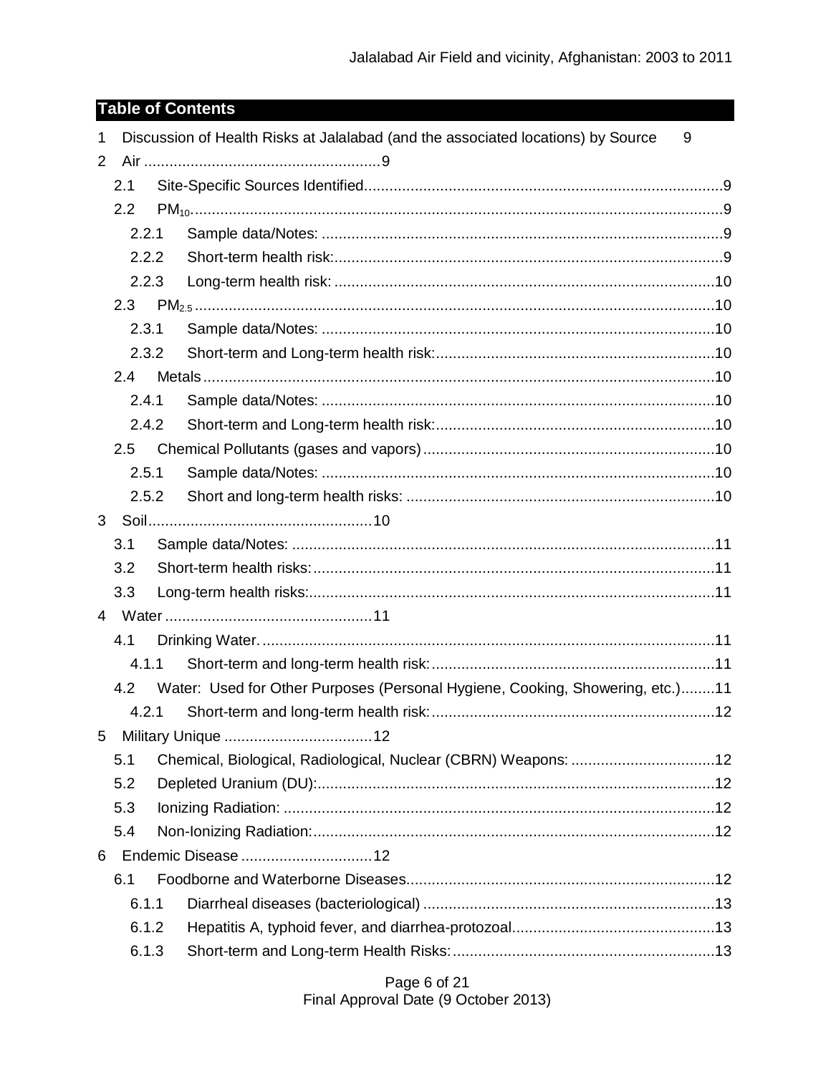# **Table of Contents**

| $\mathbf{1}$   |               |  | Discussion of Health Risks at Jalalabad (and the associated locations) by Source  | 9 |
|----------------|---------------|--|-----------------------------------------------------------------------------------|---|
| 2              |               |  |                                                                                   |   |
|                | 2.1           |  |                                                                                   |   |
|                | 2.2           |  |                                                                                   |   |
|                | 2.2.1         |  |                                                                                   |   |
|                | 2.2.2         |  |                                                                                   |   |
| 2.2.3          |               |  |                                                                                   |   |
|                | 2.3           |  |                                                                                   |   |
|                | 2.3.1         |  |                                                                                   |   |
|                | 2.3.2         |  |                                                                                   |   |
|                | $2.4^{\circ}$ |  |                                                                                   |   |
|                | 2.4.1         |  |                                                                                   |   |
|                | 2.4.2         |  |                                                                                   |   |
|                | 2.5           |  |                                                                                   |   |
|                | 2.5.1         |  |                                                                                   |   |
|                | 2.5.2         |  |                                                                                   |   |
| 3              |               |  |                                                                                   |   |
|                | 3.1           |  |                                                                                   |   |
|                | 3.2           |  |                                                                                   |   |
|                | 3.3           |  |                                                                                   |   |
| $\overline{4}$ |               |  |                                                                                   |   |
|                | 4.1           |  |                                                                                   |   |
|                | 4.1.1         |  |                                                                                   |   |
|                |               |  | 4.2 Water: Used for Other Purposes (Personal Hygiene, Cooking, Showering, etc.)11 |   |
|                | 4.2.1         |  |                                                                                   |   |
| 5              |               |  |                                                                                   |   |
|                | 5.1           |  | Chemical, Biological, Radiological, Nuclear (CBRN) Weapons: 12                    |   |
|                | 5.2           |  |                                                                                   |   |
|                | 5.3           |  |                                                                                   |   |
|                | 5.4           |  |                                                                                   |   |
| 6              |               |  |                                                                                   |   |
|                | 6.1           |  |                                                                                   |   |
|                | 6.1.1         |  |                                                                                   |   |
|                | 6.1.2         |  |                                                                                   |   |
| 6.1.3          |               |  |                                                                                   |   |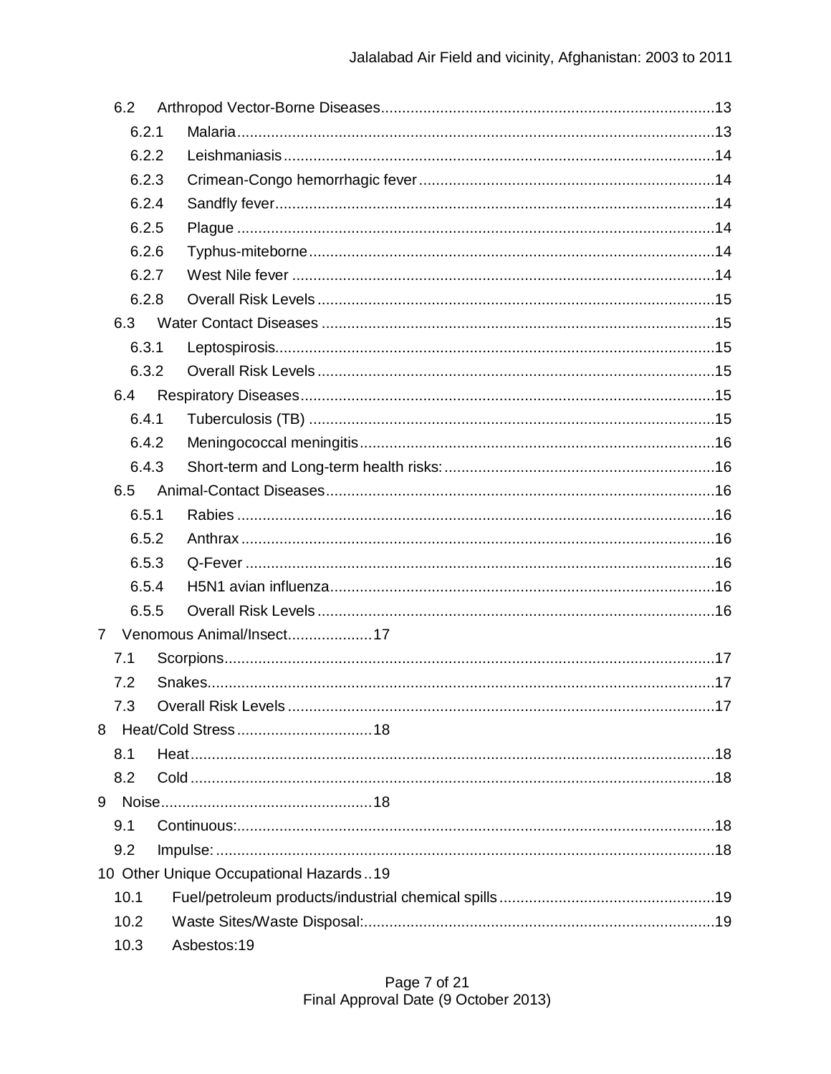|                | 6.2   |                                        |  |
|----------------|-------|----------------------------------------|--|
|                | 6.2.1 |                                        |  |
|                | 6.2.2 |                                        |  |
|                | 6.2.3 |                                        |  |
|                | 6.2.4 |                                        |  |
|                | 6.2.5 |                                        |  |
|                | 6.2.6 |                                        |  |
|                | 6.2.7 |                                        |  |
|                | 6.2.8 |                                        |  |
|                | 6.3   |                                        |  |
|                | 6.3.1 |                                        |  |
|                | 6.3.2 |                                        |  |
|                | 6.4   |                                        |  |
|                | 6.4.1 |                                        |  |
|                | 6.4.2 |                                        |  |
|                | 6.4.3 |                                        |  |
|                | 6.5   |                                        |  |
|                | 6.5.1 |                                        |  |
|                | 6.5.2 |                                        |  |
|                | 6.5.3 |                                        |  |
|                | 6.5.4 |                                        |  |
|                | 6.5.5 |                                        |  |
| $\overline{7}$ |       | Venomous Animal/Insect17               |  |
|                | 7.1   |                                        |  |
|                | 7.2   |                                        |  |
|                | 7.3   |                                        |  |
| 8              |       |                                        |  |
|                | 8.1   |                                        |  |
|                | 8.2   |                                        |  |
| 9              |       |                                        |  |
|                | 9.1   |                                        |  |
|                | 9.2   |                                        |  |
|                |       | 10 Other Unique Occupational Hazards19 |  |
|                | 10.1  |                                        |  |
|                | 10.2  |                                        |  |
|                | 10.3  | Asbestos:19                            |  |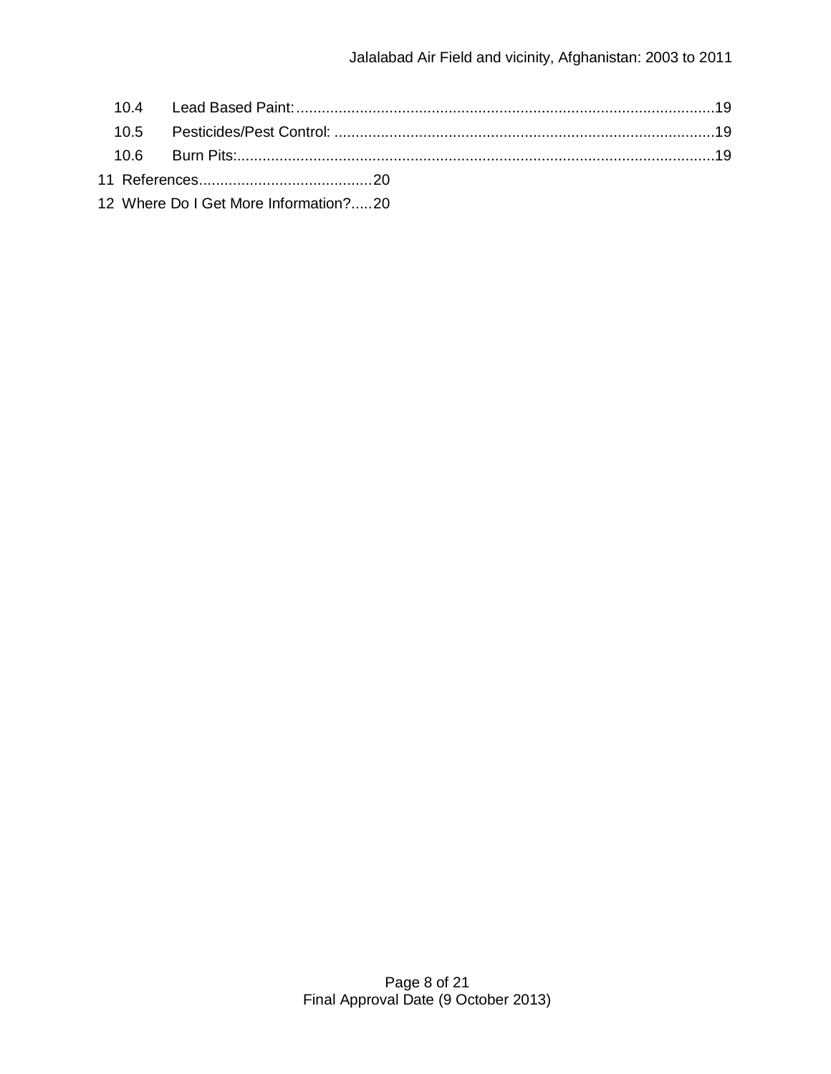|  | 12 Where Do I Get More Information?20 |  |
|--|---------------------------------------|--|

Page 8 of 21 Final Approval Date (9 October 2013)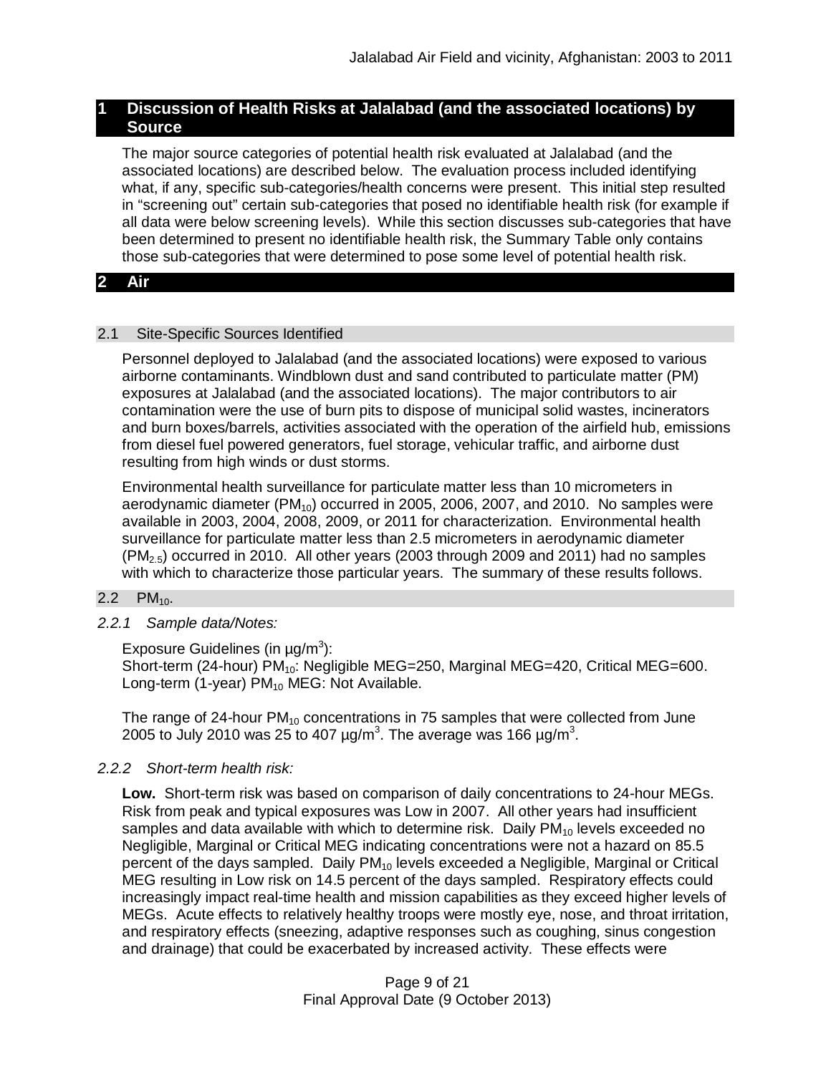# **1 Discussion of Health Risks at Jalalabad (and the associated locations) by Source**

The major source categories of potential health risk evaluated at Jalalabad (and the associated locations) are described below. The evaluation process included identifying what, if any, specific sub-categories/health concerns were present. This initial step resulted in "screening out" certain sub-categories that posed no identifiable health risk (for example if all data were below screening levels). While this section discusses sub-categories that have been determined to present no identifiable health risk, the Summary Table only contains those sub-categories that were determined to pose some level of potential health risk.

# **2 Air**

## 2.1 Site-Specific Sources Identified

Personnel deployed to Jalalabad (and the associated locations) were exposed to various airborne contaminants. Windblown dust and sand contributed to particulate matter (PM) exposures at Jalalabad (and the associated locations). The major contributors to air contamination were the use of burn pits to dispose of municipal solid wastes, incinerators and burn boxes/barrels, activities associated with the operation of the airfield hub, emissions from diesel fuel powered generators, fuel storage, vehicular traffic, and airborne dust resulting from high winds or dust storms.

Environmental health surveillance for particulate matter less than 10 micrometers in aerodynamic diameter ( $PM_{10}$ ) occurred in 2005, 2006, 2007, and 2010. No samples were available in 2003, 2004, 2008, 2009, or 2011 for characterization. Environmental health surveillance for particulate matter less than 2.5 micrometers in aerodynamic diameter  $(PM<sub>2.5</sub>)$  occurred in 2010. All other years (2003 through 2009 and 2011) had no samples with which to characterize those particular years. The summary of these results follows.

## $2.2$  PM<sub>10</sub>.

*2.2.1 Sample data/Notes:*

Exposure Guidelines (in  $\mu$ g/m<sup>3</sup>):

Short-term (24-hour)  $PM_{10}$ : Negligible MEG=250, Marginal MEG=420, Critical MEG=600. Long-term (1-year)  $PM_{10}$  MEG: Not Available.

The range of 24-hour  $PM_{10}$  concentrations in 75 samples that were collected from June 2005 to July 2010 was 25 to 407 µg/m $^3$ . The average was 166 µg/m $^3$ .

# *2.2.2 Short-term health risk:*

**Low.** Short-term risk was based on comparison of daily concentrations to 24-hour MEGs. Risk from peak and typical exposures was Low in 2007. All other years had insufficient samples and data available with which to determine risk. Daily  $PM_{10}$  levels exceeded no Negligible, Marginal or Critical MEG indicating concentrations were not a hazard on 85.5 percent of the days sampled. Daily  $PM_{10}$  levels exceeded a Negligible, Marginal or Critical MEG resulting in Low risk on 14.5 percent of the days sampled. Respiratory effects could increasingly impact real-time health and mission capabilities as they exceed higher levels of MEGs. Acute effects to relatively healthy troops were mostly eye, nose, and throat irritation, and respiratory effects (sneezing, adaptive responses such as coughing, sinus congestion and drainage) that could be exacerbated by increased activity. These effects were

> Page 9 of 21 Final Approval Date (9 October 2013)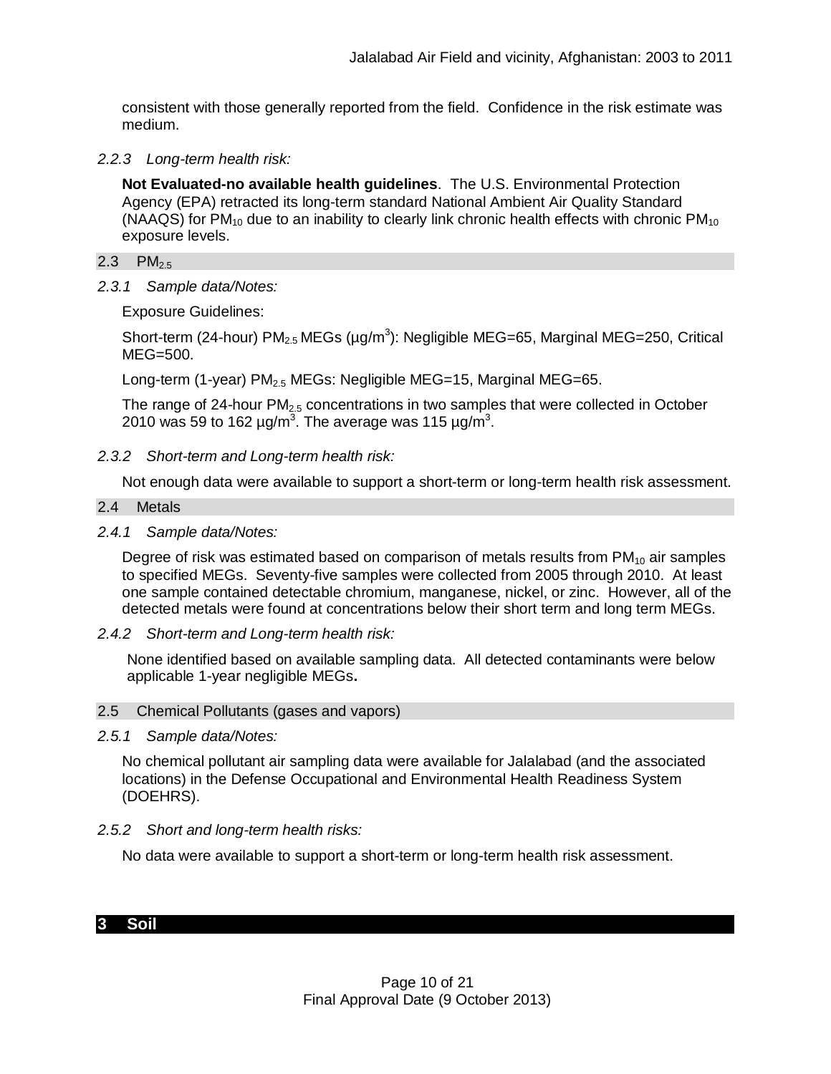consistent with those generally reported from the field. Confidence in the risk estimate was medium.

*2.2.3 Long-term health risk:*

**Not Evaluated-no available health guidelines**. The U.S. Environmental Protection Agency (EPA) retracted its long-term standard National Ambient Air Quality Standard (NAAQS) for PM<sub>10</sub> due to an inability to clearly link chronic health effects with chronic PM<sub>10</sub> exposure levels.

## 2.3  $PM_{2.5}$

*2.3.1 Sample data/Notes:*

Exposure Guidelines:

Short-term (24-hour)  $PM_{2.5}$  MEGs (µg/m<sup>3</sup>): Negligible MEG=65, Marginal MEG=250, Critical MEG=500.

Long-term (1-year) PM<sub>2.5</sub> MEGs: Negligible MEG=15, Marginal MEG=65.

The range of 24-hour  $PM<sub>2.5</sub>$  concentrations in two samples that were collected in October 2010 was 59 to 162  $\mu$ g/m<sup>3</sup>. The average was 115  $\mu$ g/m<sup>3</sup>.

*2.3.2 Short-term and Long-term health risk:*

Not enough data were available to support a short-term or long-term health risk assessment.

- 2.4 Metals
- *2.4.1 Sample data/Notes:*

Degree of risk was estimated based on comparison of metals results from  $PM_{10}$  air samples to specified MEGs. Seventy-five samples were collected from 2005 through 2010. At least one sample contained detectable chromium, manganese, nickel, or zinc. However, all of the detected metals were found at concentrations below their short term and long term MEGs.

*2.4.2 Short-term and Long-term health risk:*

None identified based on available sampling data. All detected contaminants were below applicable 1-year negligible MEGs**.**

## 2.5 Chemical Pollutants (gases and vapors)

*2.5.1 Sample data/Notes:*

No chemical pollutant air sampling data were available for Jalalabad (and the associated locations) in the Defense Occupational and Environmental Health Readiness System (DOEHRS).

*2.5.2 Short and long-term health risks:*

No data were available to support a short-term or long-term health risk assessment.

# **3 Soil**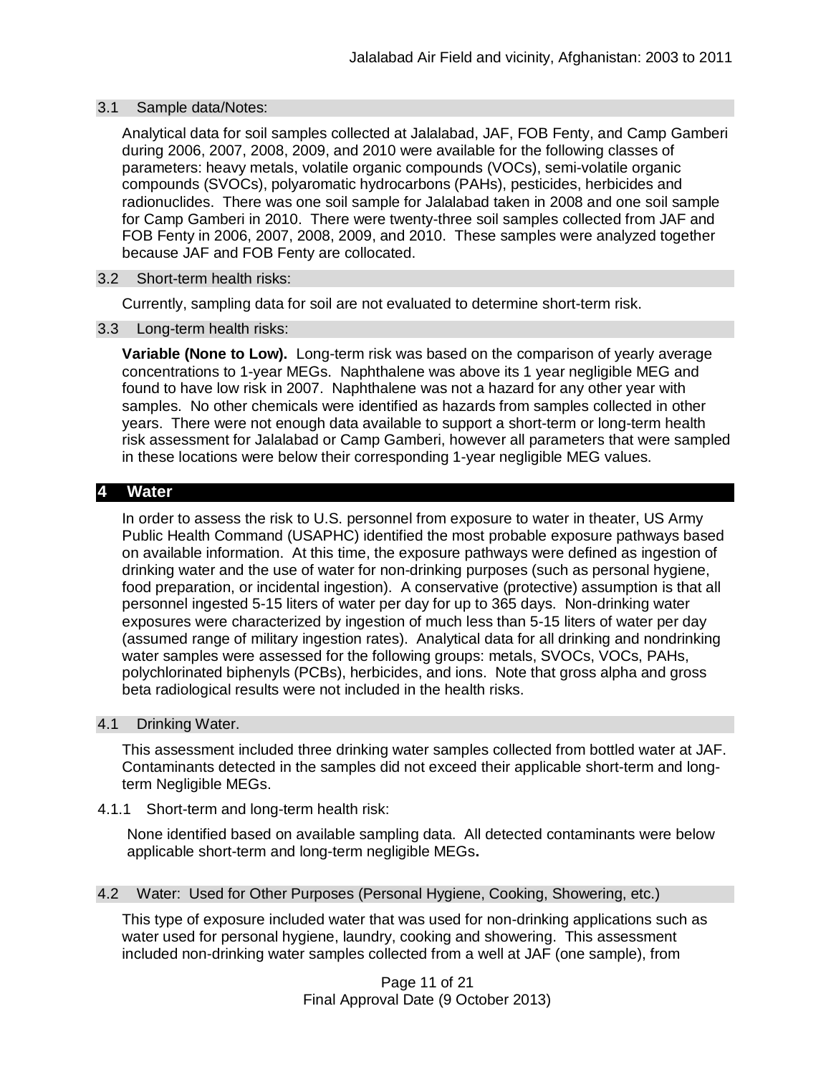## 3.1 Sample data/Notes:

Analytical data for soil samples collected at Jalalabad, JAF, FOB Fenty, and Camp Gamberi during 2006, 2007, 2008, 2009, and 2010 were available for the following classes of parameters: heavy metals, volatile organic compounds (VOCs), semi-volatile organic compounds (SVOCs), polyaromatic hydrocarbons (PAHs), pesticides, herbicides and radionuclides. There was one soil sample for Jalalabad taken in 2008 and one soil sample for Camp Gamberi in 2010. There were twenty-three soil samples collected from JAF and FOB Fenty in 2006, 2007, 2008, 2009, and 2010. These samples were analyzed together because JAF and FOB Fenty are collocated.

## 3.2 Short-term health risks:

Currently, sampling data for soil are not evaluated to determine short-term risk.

## 3.3 Long-term health risks:

**Variable (None to Low).** Long-term risk was based on the comparison of yearly average concentrations to 1-year MEGs. Naphthalene was above its 1 year negligible MEG and found to have low risk in 2007. Naphthalene was not a hazard for any other year with samples. No other chemicals were identified as hazards from samples collected in other years. There were not enough data available to support a short-term or long-term health risk assessment for Jalalabad or Camp Gamberi, however all parameters that were sampled in these locations were below their corresponding 1-year negligible MEG values.

# **4 Water**

In order to assess the risk to U.S. personnel from exposure to water in theater, US Army Public Health Command (USAPHC) identified the most probable exposure pathways based on available information. At this time, the exposure pathways were defined as ingestion of drinking water and the use of water for non-drinking purposes (such as personal hygiene, food preparation, or incidental ingestion). A conservative (protective) assumption is that all personnel ingested 5-15 liters of water per day for up to 365 days. Non-drinking water exposures were characterized by ingestion of much less than 5-15 liters of water per day (assumed range of military ingestion rates). Analytical data for all drinking and nondrinking water samples were assessed for the following groups: metals, SVOCs, VOCs, PAHs, polychlorinated biphenyls (PCBs), herbicides, and ions. Note that gross alpha and gross beta radiological results were not included in the health risks.

## 4.1 Drinking Water.

This assessment included three drinking water samples collected from bottled water at JAF. Contaminants detected in the samples did not exceed their applicable short-term and longterm Negligible MEGs.

# 4.1.1 Short-term and long-term health risk:

None identified based on available sampling data. All detected contaminants were below applicable short-term and long-term negligible MEGs**.**

## 4.2 Water: Used for Other Purposes (Personal Hygiene, Cooking, Showering, etc.)

This type of exposure included water that was used for non-drinking applications such as water used for personal hygiene, laundry, cooking and showering. This assessment included non-drinking water samples collected from a well at JAF (one sample), from

> Page 11 of 21 Final Approval Date (9 October 2013)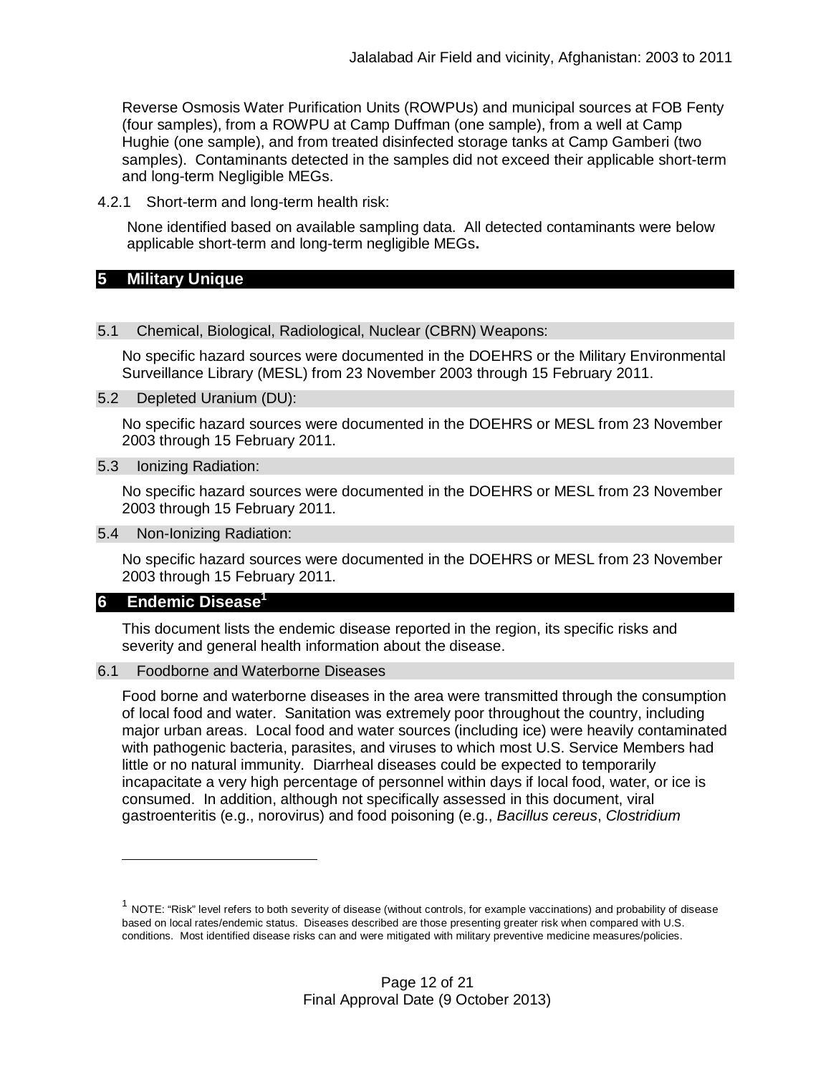Reverse Osmosis Water Purification Units (ROWPUs) and municipal sources at FOB Fenty (four samples), from a ROWPU at Camp Duffman (one sample), from a well at Camp Hughie (one sample), and from treated disinfected storage tanks at Camp Gamberi (two samples). Contaminants detected in the samples did not exceed their applicable short-term and long-term Negligible MEGs.

4.2.1 Short-term and long-term health risk:

None identified based on available sampling data. All detected contaminants were below applicable short-term and long-term negligible MEGs**.**

## **5 Military Unique**

#### 5.1 Chemical, Biological, Radiological, Nuclear (CBRN) Weapons:

No specific hazard sources were documented in the DOEHRS or the Military Environmental Surveillance Library (MESL) from 23 November 2003 through 15 February 2011.

5.2 Depleted Uranium (DU):

No specific hazard sources were documented in the DOEHRS or MESL from 23 November 2003 through 15 February 2011.

5.3 Ionizing Radiation:

No specific hazard sources were documented in the DOEHRS or MESL from 23 November 2003 through 15 February 2011.

5.4 Non-Ionizing Radiation:

No specific hazard sources were documented in the DOEHRS or MESL from 23 November 2003 through 15 February 2011.

# **6 Endemic Disease<sup>1</sup>**

This document lists the endemic disease reported in the region, its specific risks and severity and general health information about the disease.

6.1 Foodborne and Waterborne Diseases

Food borne and waterborne diseases in the area were transmitted through the consumption of local food and water. Sanitation was extremely poor throughout the country, including major urban areas. Local food and water sources (including ice) were heavily contaminated with pathogenic bacteria, parasites, and viruses to which most U.S. Service Members had little or no natural immunity. Diarrheal diseases could be expected to temporarily incapacitate a very high percentage of personnel within days if local food, water, or ice is consumed. In addition, although not specifically assessed in this document, viral gastroenteritis (e.g., norovirus) and food poisoning (e.g., *Bacillus cereus*, *Clostridium*

 $^1$  NOTE: "Risk" level refers to both severity of disease (without controls, for example vaccinations) and probability of disease based on local rates/endemic status. Diseases described are those presenting greater risk when compared with U.S. conditions. Most identified disease risks can and were mitigated with military preventive medicine measures/policies.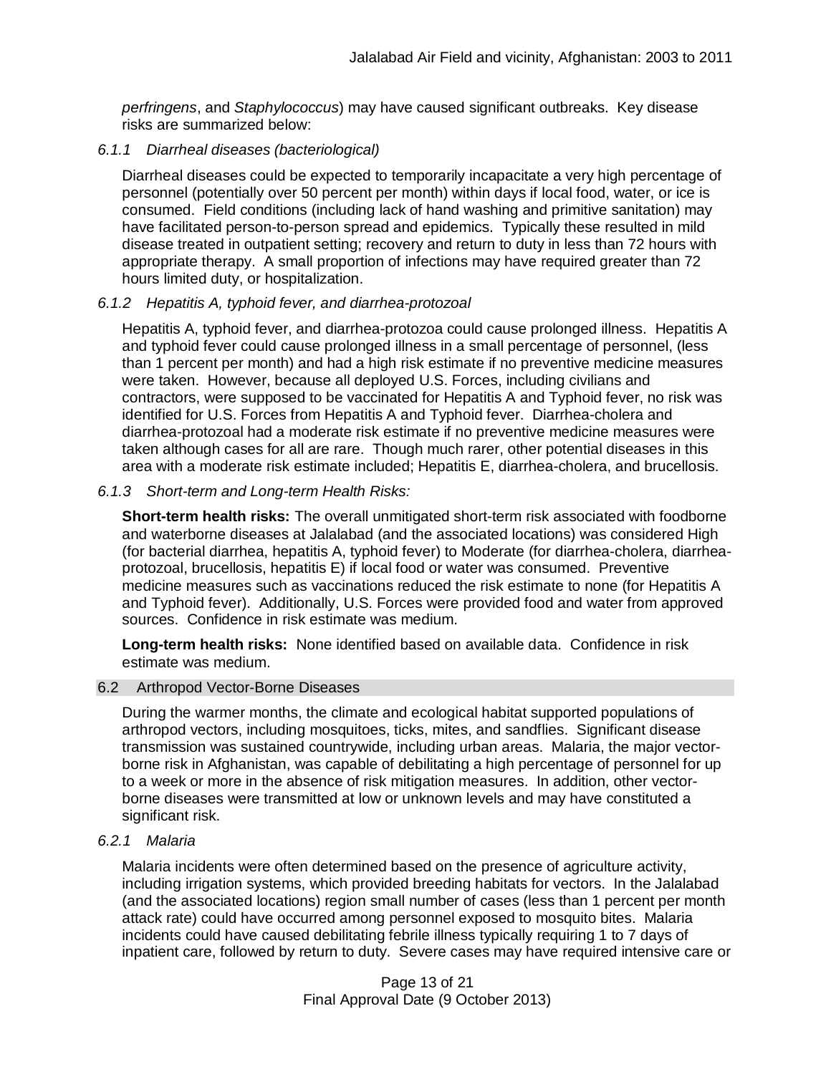*perfringens*, and *Staphylococcus*) may have caused significant outbreaks. Key disease risks are summarized below:

## *6.1.1 Diarrheal diseases (bacteriological)*

Diarrheal diseases could be expected to temporarily incapacitate a very high percentage of personnel (potentially over 50 percent per month) within days if local food, water, or ice is consumed. Field conditions (including lack of hand washing and primitive sanitation) may have facilitated person-to-person spread and epidemics. Typically these resulted in mild disease treated in outpatient setting; recovery and return to duty in less than 72 hours with appropriate therapy. A small proportion of infections may have required greater than 72 hours limited duty, or hospitalization.

# *6.1.2 Hepatitis A, typhoid fever, and diarrhea-protozoal*

Hepatitis A, typhoid fever, and diarrhea-protozoa could cause prolonged illness. Hepatitis A and typhoid fever could cause prolonged illness in a small percentage of personnel, (less than 1 percent per month) and had a high risk estimate if no preventive medicine measures were taken. However, because all deployed U.S. Forces, including civilians and contractors, were supposed to be vaccinated for Hepatitis A and Typhoid fever, no risk was identified for U.S. Forces from Hepatitis A and Typhoid fever. Diarrhea-cholera and diarrhea-protozoal had a moderate risk estimate if no preventive medicine measures were taken although cases for all are rare. Though much rarer, other potential diseases in this area with a moderate risk estimate included; Hepatitis E, diarrhea-cholera, and brucellosis.

## *6.1.3 Short-term and Long-term Health Risks:*

**Short-term health risks:** The overall unmitigated short-term risk associated with foodborne and waterborne diseases at Jalalabad (and the associated locations) was considered High (for bacterial diarrhea, hepatitis A, typhoid fever) to Moderate (for diarrhea-cholera, diarrheaprotozoal, brucellosis, hepatitis E) if local food or water was consumed. Preventive medicine measures such as vaccinations reduced the risk estimate to none (for Hepatitis A and Typhoid fever). Additionally, U.S. Forces were provided food and water from approved sources. Confidence in risk estimate was medium.

**Long-term health risks:** None identified based on available data. Confidence in risk estimate was medium.

## 6.2 Arthropod Vector-Borne Diseases

During the warmer months, the climate and ecological habitat supported populations of arthropod vectors, including mosquitoes, ticks, mites, and sandflies. Significant disease transmission was sustained countrywide, including urban areas. Malaria, the major vectorborne risk in Afghanistan, was capable of debilitating a high percentage of personnel for up to a week or more in the absence of risk mitigation measures. In addition, other vectorborne diseases were transmitted at low or unknown levels and may have constituted a significant risk.

## *6.2.1 Malaria*

Malaria incidents were often determined based on the presence of agriculture activity, including irrigation systems, which provided breeding habitats for vectors. In the Jalalabad (and the associated locations) region small number of cases (less than 1 percent per month attack rate) could have occurred among personnel exposed to mosquito bites. Malaria incidents could have caused debilitating febrile illness typically requiring 1 to 7 days of inpatient care, followed by return to duty. Severe cases may have required intensive care or

> Page 13 of 21 Final Approval Date (9 October 2013)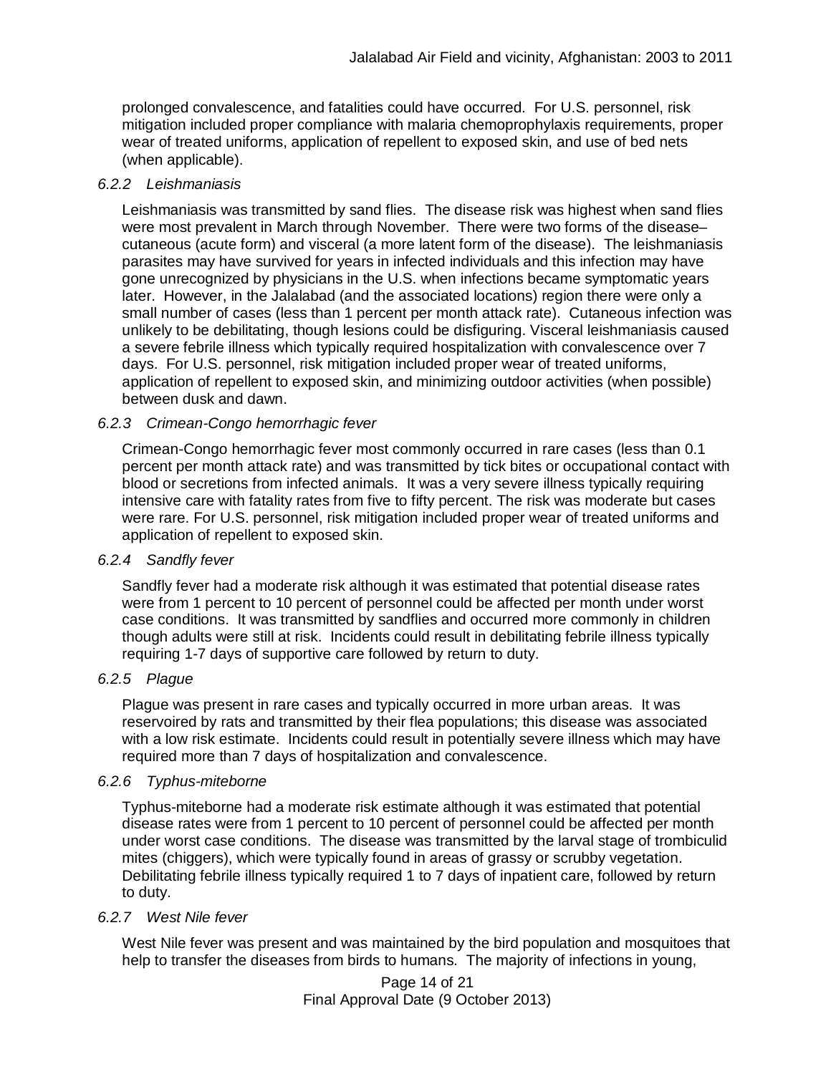prolonged convalescence, and fatalities could have occurred. For U.S. personnel, risk mitigation included proper compliance with malaria chemoprophylaxis requirements, proper wear of treated uniforms, application of repellent to exposed skin, and use of bed nets (when applicable).

# *6.2.2 Leishmaniasis*

Leishmaniasis was transmitted by sand flies. The disease risk was highest when sand flies were most prevalent in March through November. There were two forms of the disease– cutaneous (acute form) and visceral (a more latent form of the disease). The leishmaniasis parasites may have survived for years in infected individuals and this infection may have gone unrecognized by physicians in the U.S. when infections became symptomatic years later. However, in the Jalalabad (and the associated locations) region there were only a small number of cases (less than 1 percent per month attack rate). Cutaneous infection was unlikely to be debilitating, though lesions could be disfiguring. Visceral leishmaniasis caused a severe febrile illness which typically required hospitalization with convalescence over 7 days. For U.S. personnel, risk mitigation included proper wear of treated uniforms, application of repellent to exposed skin, and minimizing outdoor activities (when possible) between dusk and dawn.

# *6.2.3 Crimean-Congo hemorrhagic fever*

Crimean-Congo hemorrhagic fever most commonly occurred in rare cases (less than 0.1 percent per month attack rate) and was transmitted by tick bites or occupational contact with blood or secretions from infected animals. It was a very severe illness typically requiring intensive care with fatality rates from five to fifty percent. The risk was moderate but cases were rare. For U.S. personnel, risk mitigation included proper wear of treated uniforms and application of repellent to exposed skin.

# *6.2.4 Sandfly fever*

Sandfly fever had a moderate risk although it was estimated that potential disease rates were from 1 percent to 10 percent of personnel could be affected per month under worst case conditions. It was transmitted by sandflies and occurred more commonly in children though adults were still at risk. Incidents could result in debilitating febrile illness typically requiring 1-7 days of supportive care followed by return to duty.

# *6.2.5 Plague*

Plague was present in rare cases and typically occurred in more urban areas. It was reservoired by rats and transmitted by their flea populations; this disease was associated with a low risk estimate. Incidents could result in potentially severe illness which may have required more than 7 days of hospitalization and convalescence.

# *6.2.6 Typhus-miteborne*

Typhus-miteborne had a moderate risk estimate although it was estimated that potential disease rates were from 1 percent to 10 percent of personnel could be affected per month under worst case conditions. The disease was transmitted by the larval stage of trombiculid mites (chiggers), which were typically found in areas of grassy or scrubby vegetation. Debilitating febrile illness typically required 1 to 7 days of inpatient care, followed by return to duty.

# *6.2.7 West Nile fever*

West Nile fever was present and was maintained by the bird population and mosquitoes that help to transfer the diseases from birds to humans. The majority of infections in young,

> Page 14 of 21 Final Approval Date (9 October 2013)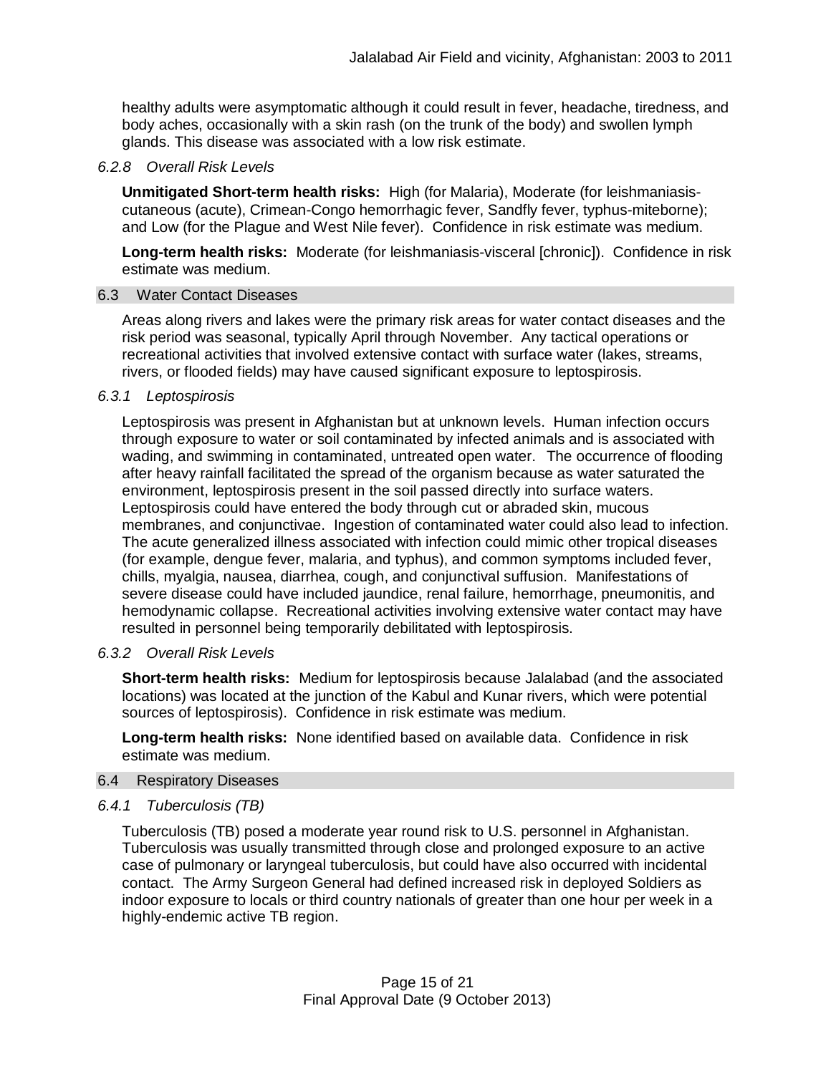healthy adults were asymptomatic although it could result in fever, headache, tiredness, and body aches, occasionally with a skin rash (on the trunk of the body) and swollen lymph glands. This disease was associated with a low risk estimate.

## *6.2.8 Overall Risk Levels*

**Unmitigated Short-term health risks:** High (for Malaria), Moderate (for leishmaniasiscutaneous (acute), Crimean-Congo hemorrhagic fever, Sandfly fever, typhus-miteborne); and Low (for the Plague and West Nile fever). Confidence in risk estimate was medium.

**Long-term health risks:** Moderate (for leishmaniasis-visceral [chronic]). Confidence in risk estimate was medium.

#### 6.3 Water Contact Diseases

Areas along rivers and lakes were the primary risk areas for water contact diseases and the risk period was seasonal, typically April through November. Any tactical operations or recreational activities that involved extensive contact with surface water (lakes, streams, rivers, or flooded fields) may have caused significant exposure to leptospirosis.

#### *6.3.1 Leptospirosis*

Leptospirosis was present in Afghanistan but at unknown levels. Human infection occurs through exposure to water or soil contaminated by infected animals and is associated with wading, and swimming in contaminated, untreated open water. The occurrence of flooding after heavy rainfall facilitated the spread of the organism because as water saturated the environment, leptospirosis present in the soil passed directly into surface waters. Leptospirosis could have entered the body through cut or abraded skin, mucous membranes, and conjunctivae. Ingestion of contaminated water could also lead to infection. The acute generalized illness associated with infection could mimic other tropical diseases (for example, dengue fever, malaria, and typhus), and common symptoms included fever, chills, myalgia, nausea, diarrhea, cough, and conjunctival suffusion. Manifestations of severe disease could have included jaundice, renal failure, hemorrhage, pneumonitis, and hemodynamic collapse. Recreational activities involving extensive water contact may have resulted in personnel being temporarily debilitated with leptospirosis.

## *6.3.2 Overall Risk Levels*

**Short-term health risks:** Medium for leptospirosis because Jalalabad (and the associated locations) was located at the junction of the Kabul and Kunar rivers, which were potential sources of leptospirosis). Confidence in risk estimate was medium.

**Long-term health risks:** None identified based on available data. Confidence in risk estimate was medium.

## 6.4 Respiratory Diseases

## *6.4.1 Tuberculosis (TB)*

Tuberculosis (TB) posed a moderate year round risk to U.S. personnel in Afghanistan. Tuberculosis was usually transmitted through close and prolonged exposure to an active case of pulmonary or laryngeal tuberculosis, but could have also occurred with incidental contact. The Army Surgeon General had defined increased risk in deployed Soldiers as indoor exposure to locals or third country nationals of greater than one hour per week in a highly-endemic active TB region.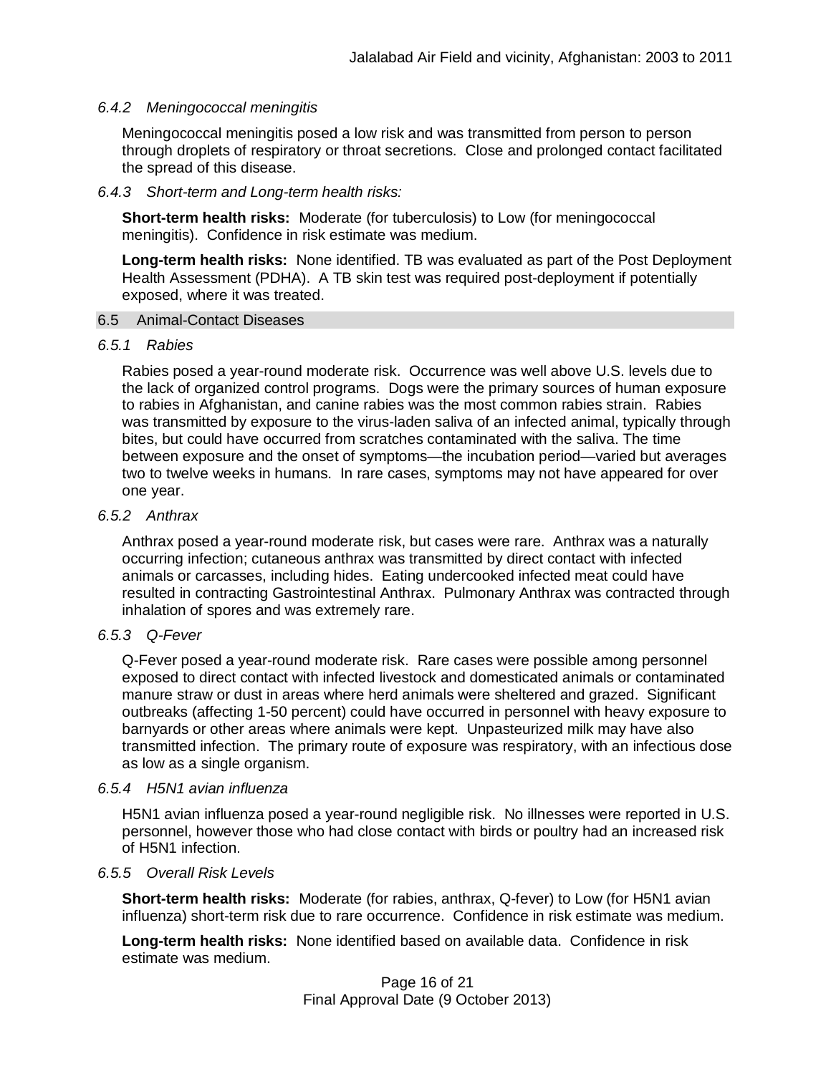## *6.4.2 Meningococcal meningitis*

Meningococcal meningitis posed a low risk and was transmitted from person to person through droplets of respiratory or throat secretions. Close and prolonged contact facilitated the spread of this disease.

## *6.4.3 Short-term and Long-term health risks:*

**Short-term health risks:** Moderate (for tuberculosis) to Low (for meningococcal meningitis). Confidence in risk estimate was medium.

**Long-term health risks:** None identified. TB was evaluated as part of the Post Deployment Health Assessment (PDHA). A TB skin test was required post-deployment if potentially exposed, where it was treated.

## 6.5 Animal-Contact Diseases

## *6.5.1 Rabies*

Rabies posed a year-round moderate risk. Occurrence was well above U.S. levels due to the lack of organized control programs. Dogs were the primary sources of human exposure to rabies in Afghanistan, and canine rabies was the most common rabies strain. Rabies was transmitted by exposure to the virus-laden saliva of an infected animal, typically through bites, but could have occurred from scratches contaminated with the saliva. The time between exposure and the onset of symptoms—the incubation period—varied but averages two to twelve weeks in humans. In rare cases, symptoms may not have appeared for over one year.

# *6.5.2 Anthrax*

Anthrax posed a year-round moderate risk, but cases were rare. Anthrax was a naturally occurring infection; cutaneous anthrax was transmitted by direct contact with infected animals or carcasses, including hides. Eating undercooked infected meat could have resulted in contracting Gastrointestinal Anthrax. Pulmonary Anthrax was contracted through inhalation of spores and was extremely rare.

# *6.5.3 Q-Fever*

Q-Fever posed a year-round moderate risk. Rare cases were possible among personnel exposed to direct contact with infected livestock and domesticated animals or contaminated manure straw or dust in areas where herd animals were sheltered and grazed. Significant outbreaks (affecting 1-50 percent) could have occurred in personnel with heavy exposure to barnyards or other areas where animals were kept. Unpasteurized milk may have also transmitted infection. The primary route of exposure was respiratory, with an infectious dose as low as a single organism.

## *6.5.4 H5N1 avian influenza*

H5N1 avian influenza posed a year-round negligible risk. No illnesses were reported in U.S. personnel, however those who had close contact with birds or poultry had an increased risk of H5N1 infection.

## *6.5.5 Overall Risk Levels*

**Short-term health risks:** Moderate (for rabies, anthrax, Q-fever) to Low (for H5N1 avian influenza) short-term risk due to rare occurrence. Confidence in risk estimate was medium.

**Long-term health risks:** None identified based on available data. Confidence in risk estimate was medium.

> Page 16 of 21 Final Approval Date (9 October 2013)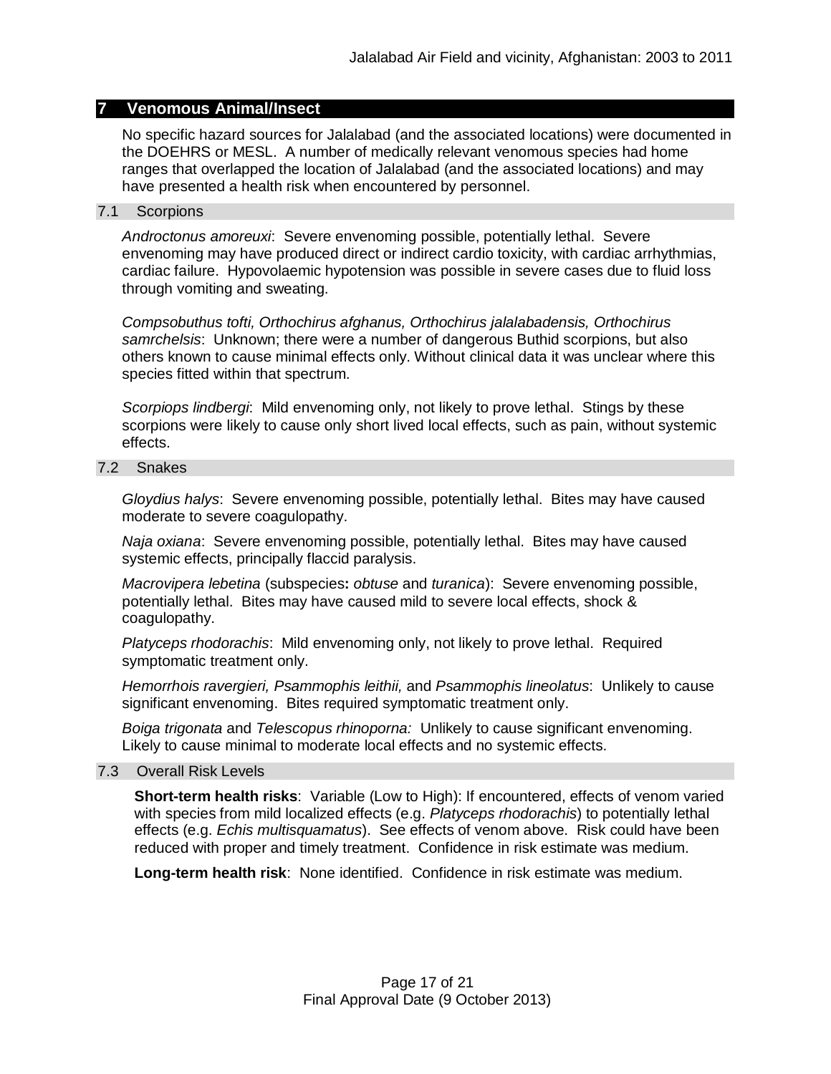## **7 Venomous Animal/Insect**

No specific hazard sources for Jalalabad (and the associated locations) were documented in the DOEHRS or MESL. A number of medically relevant venomous species had home ranges that overlapped the location of Jalalabad (and the associated locations) and may have presented a health risk when encountered by personnel.

#### 7.1 Scorpions

*Androctonus amoreuxi*: Severe envenoming possible, potentially lethal. Severe envenoming may have produced direct or indirect cardio toxicity, with cardiac arrhythmias, cardiac failure. Hypovolaemic hypotension was possible in severe cases due to fluid loss through vomiting and sweating.

*Compsobuthus tofti, Orthochirus afghanus, Orthochirus jalalabadensis, Orthochirus samrchelsis*: Unknown; there were a number of dangerous Buthid scorpions, but also others known to cause minimal effects only. Without clinical data it was unclear where this species fitted within that spectrum.

*Scorpiops lindbergi*: Mild envenoming only, not likely to prove lethal. Stings by these scorpions were likely to cause only short lived local effects, such as pain, without systemic effects.

#### 7.2 Snakes

*Gloydius halys*: Severe envenoming possible, potentially lethal. Bites may have caused moderate to severe coagulopathy.

*Naja oxiana*: Severe envenoming possible, potentially lethal. Bites may have caused systemic effects, principally flaccid paralysis.

*Macrovipera lebetina* (subspecies**:** *obtuse* and *turanica*): Severe envenoming possible, potentially lethal. Bites may have caused mild to severe local effects, shock & coagulopathy.

*Platyceps rhodorachis*: Mild envenoming only, not likely to prove lethal. Required symptomatic treatment only.

*Hemorrhois ravergieri, Psammophis leithii,* and *Psammophis lineolatus*: Unlikely to cause significant envenoming. Bites required symptomatic treatment only.

*Boiga trigonata* and *Telescopus rhinoporna:* Unlikely to cause significant envenoming. Likely to cause minimal to moderate local effects and no systemic effects.

## 7.3 Overall Risk Levels

**Short-term health risks**: Variable (Low to High): If encountered, effects of venom varied with species from mild localized effects (e.g. *Platyceps rhodorachis*) to potentially lethal effects (e.g. *Echis multisquamatus*). See effects of venom above. Risk could have been reduced with proper and timely treatment. Confidence in risk estimate was medium.

**Long-term health risk**: None identified. Confidence in risk estimate was medium.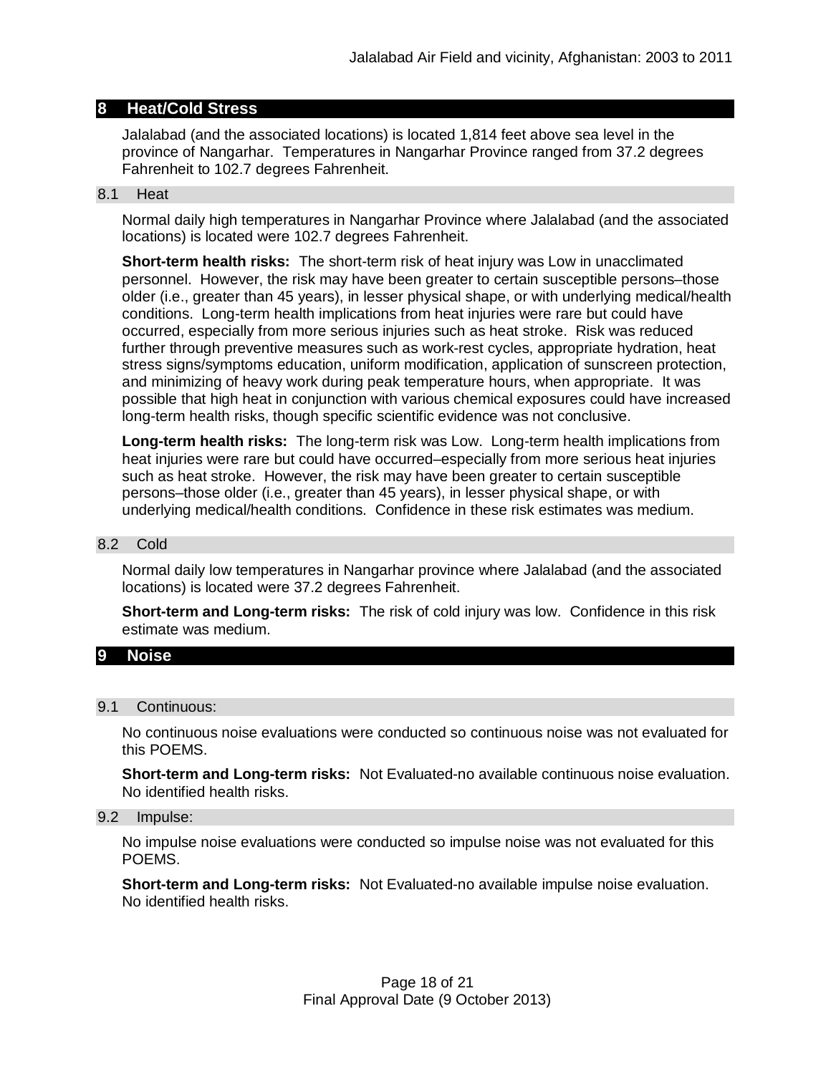# **8 Heat/Cold Stress**

Jalalabad (and the associated locations) is located 1,814 feet above sea level in the province of Nangarhar. Temperatures in Nangarhar Province ranged from 37.2 degrees Fahrenheit to 102.7 degrees Fahrenheit.

#### 8.1 Heat

Normal daily high temperatures in Nangarhar Province where Jalalabad (and the associated locations) is located were 102.7 degrees Fahrenheit.

**Short-term health risks:** The short-term risk of heat injury was Low in unacclimated personnel. However, the risk may have been greater to certain susceptible persons–those older (i.e., greater than 45 years), in lesser physical shape, or with underlying medical/health conditions. Long-term health implications from heat injuries were rare but could have occurred, especially from more serious injuries such as heat stroke. Risk was reduced further through preventive measures such as work-rest cycles, appropriate hydration, heat stress signs/symptoms education, uniform modification, application of sunscreen protection, and minimizing of heavy work during peak temperature hours, when appropriate. It was possible that high heat in conjunction with various chemical exposures could have increased long-term health risks, though specific scientific evidence was not conclusive.

**Long-term health risks:** The long-term risk was Low. Long-term health implications from heat injuries were rare but could have occurred–especially from more serious heat injuries such as heat stroke. However, the risk may have been greater to certain susceptible persons–those older (i.e., greater than 45 years), in lesser physical shape, or with underlying medical/health conditions. Confidence in these risk estimates was medium.

#### 8.2 Cold

Normal daily low temperatures in Nangarhar province where Jalalabad (and the associated locations) is located were 37.2 degrees Fahrenheit.

**Short-term and Long-term risks:** The risk of cold injury was low. Confidence in this risk estimate was medium.

## **9 Noise**

#### 9.1 Continuous:

No continuous noise evaluations were conducted so continuous noise was not evaluated for this POEMS.

**Short-term and Long-term risks:** Not Evaluated-no available continuous noise evaluation. No identified health risks.

#### 9.2 Impulse:

No impulse noise evaluations were conducted so impulse noise was not evaluated for this POEMS.

**Short-term and Long-term risks:** Not Evaluated-no available impulse noise evaluation. No identified health risks.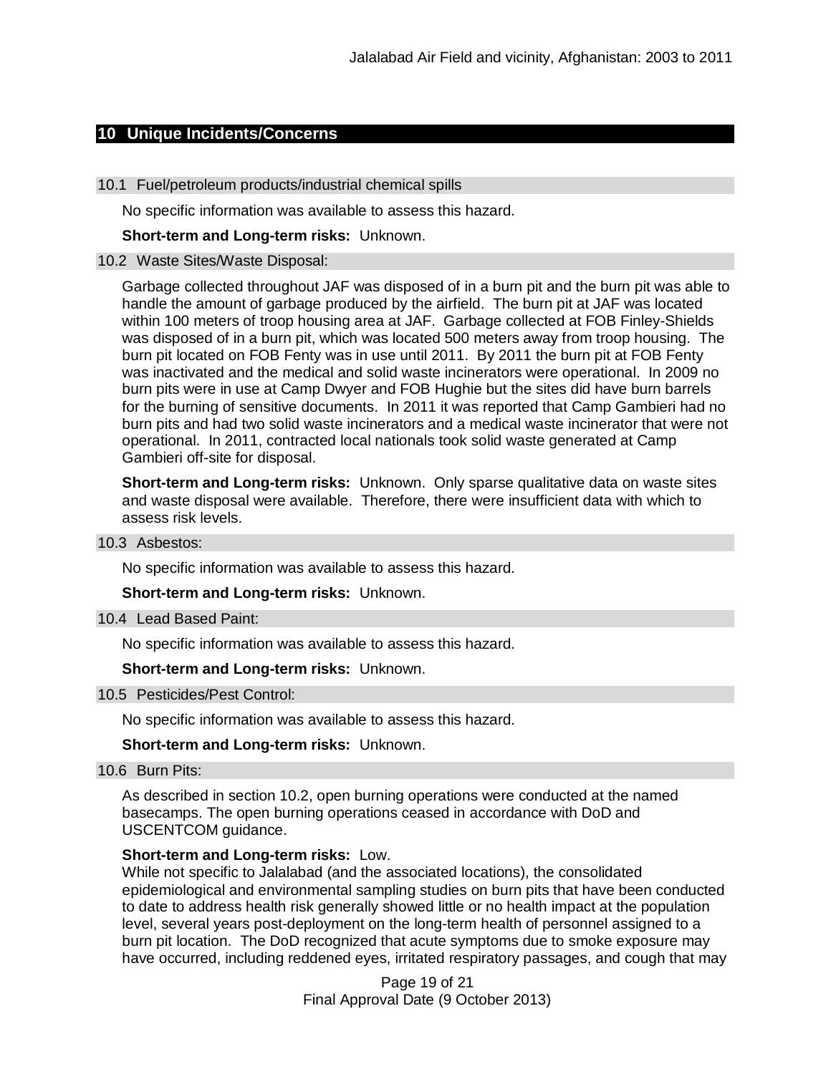# **10 Unique Incidents/Concerns**

#### 10.1 Fuel/petroleum products/industrial chemical spills

No specific information was available to assess this hazard.

**Short-term and Long-term risks:** Unknown.

#### 10.2 Waste Sites/Waste Disposal:

Garbage collected throughout JAF was disposed of in a burn pit and the burn pit was able to handle the amount of garbage produced by the airfield. The burn pit at JAF was located within 100 meters of troop housing area at JAF. Garbage collected at FOB Finley-Shields was disposed of in a burn pit, which was located 500 meters away from troop housing. The burn pit located on FOB Fenty was in use until 2011. By 2011 the burn pit at FOB Fenty was inactivated and the medical and solid waste incinerators were operational. In 2009 no burn pits were in use at Camp Dwyer and FOB Hughie but the sites did have burn barrels for the burning of sensitive documents. In 2011 it was reported that Camp Gambieri had no burn pits and had two solid waste incinerators and a medical waste incinerator that were not operational. In 2011, contracted local nationals took solid waste generated at Camp Gambieri off-site for disposal.

**Short-term and Long-term risks:** Unknown. Only sparse qualitative data on waste sites and waste disposal were available. Therefore, there were insufficient data with which to assess risk levels.

#### 10.3 Asbestos:

No specific information was available to assess this hazard.

**Short-term and Long-term risks:** Unknown.

10.4 Lead Based Paint:

No specific information was available to assess this hazard.

**Short-term and Long-term risks:** Unknown.

## 10.5 Pesticides/Pest Control:

No specific information was available to assess this hazard.

#### **Short-term and Long-term risks:** Unknown.

10.6 Burn Pits:

As described in section 10.2, open burning operations were conducted at the named basecamps. The open burning operations ceased in accordance with DoD and USCENTCOM guidance.

#### **Short-term and Long-term risks:** Low.

While not specific to Jalalabad (and the associated locations), the consolidated epidemiological and environmental sampling studies on burn pits that have been conducted to date to address health risk generally showed little or no health impact at the population level, several years post-deployment on the long-term health of personnel assigned to a burn pit location. The DoD recognized that acute symptoms due to smoke exposure may have occurred, including reddened eyes, irritated respiratory passages, and cough that may

> Page 19 of 21 Final Approval Date (9 October 2013)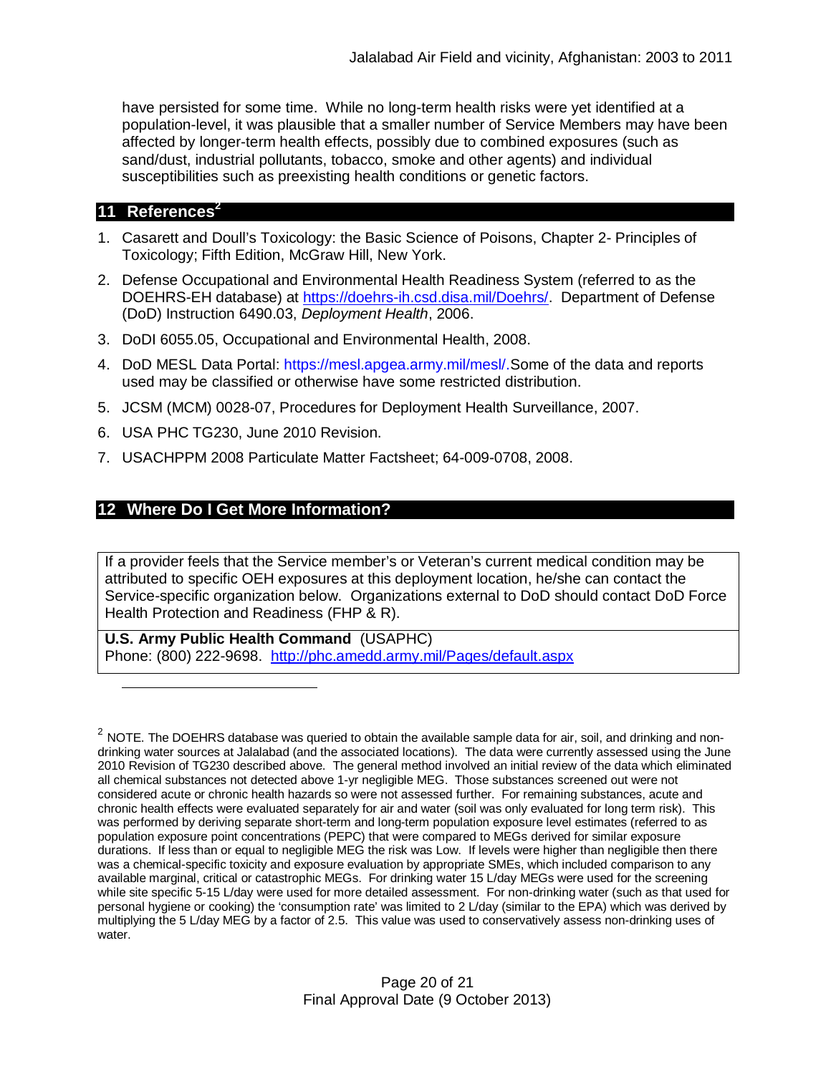have persisted for some time. While no long-term health risks were yet identified at a population-level, it was plausible that a smaller number of Service Members may have been affected by longer-term health effects, possibly due to combined exposures (such as sand/dust, industrial pollutants, tobacco, smoke and other agents) and individual susceptibilities such as preexisting health conditions or genetic factors.

# **11 References<sup>2</sup>**

- 1. Casarett and Doull's Toxicology: the Basic Science of Poisons, Chapter 2- Principles of Toxicology; Fifth Edition, McGraw Hill, New York.
- 2. Defense Occupational and Environmental Health Readiness System (referred to as the DOEHRS-EH database) at https://doehrs-ih.csd.disa.mil/Doehrs/. Department of Defense (DoD) Instruction 6490.03, *Deployment Health*, 2006.
- 3. DoDI 6055.05, Occupational and Environmental Health, 2008.
- 4. DoD MESL Data Portal: https://mesl.apgea.army.mil/mesl/.Some of the data and reports used may be classified or otherwise have some restricted distribution.
- 5. JCSM (MCM) 0028-07, Procedures for Deployment Health Surveillance, 2007.
- 6. USA PHC TG230, June 2010 Revision.
- 7. USACHPPM 2008 Particulate Matter Factsheet; 64-009-0708, 2008.

# **12 Where Do I Get More Information?**

If a provider feels that the Service member's or Veteran's current medical condition may be attributed to specific OEH exposures at this deployment location, he/she can contact the Service-specific organization below. Organizations external to DoD should contact DoD Force Health Protection and Readiness (FHP & R).

**U.S. Army Public Health Command** (USAPHC) Phone: (800) 222-9698. http://phc.amedd.army.mil/Pages/default.aspx

 $^2$  NOTE. The DOEHRS database was queried to obtain the available sample data for air, soil, and drinking and nondrinking water sources at Jalalabad (and the associated locations). The data were currently assessed using the June 2010 Revision of TG230 described above. The general method involved an initial review of the data which eliminated all chemical substances not detected above 1-yr negligible MEG. Those substances screened out were not considered acute or chronic health hazards so were not assessed further. For remaining substances, acute and chronic health effects were evaluated separately for air and water (soil was only evaluated for long term risk). This was performed by deriving separate short-term and long-term population exposure level estimates (referred to as population exposure point concentrations (PEPC) that were compared to MEGs derived for similar exposure durations. If less than or equal to negligible MEG the risk was Low. If levels were higher than negligible then there was a chemical-specific toxicity and exposure evaluation by appropriate SMEs, which included comparison to any available marginal, critical or catastrophic MEGs. For drinking water 15 L/day MEGs were used for the screening while site specific 5-15 L/day were used for more detailed assessment. For non-drinking water (such as that used for personal hygiene or cooking) the 'consumption rate' was limited to 2 L/day (similar to the EPA) which was derived by multiplying the 5 L/day MEG by a factor of 2.5. This value was used to conservatively assess non-drinking uses of water.